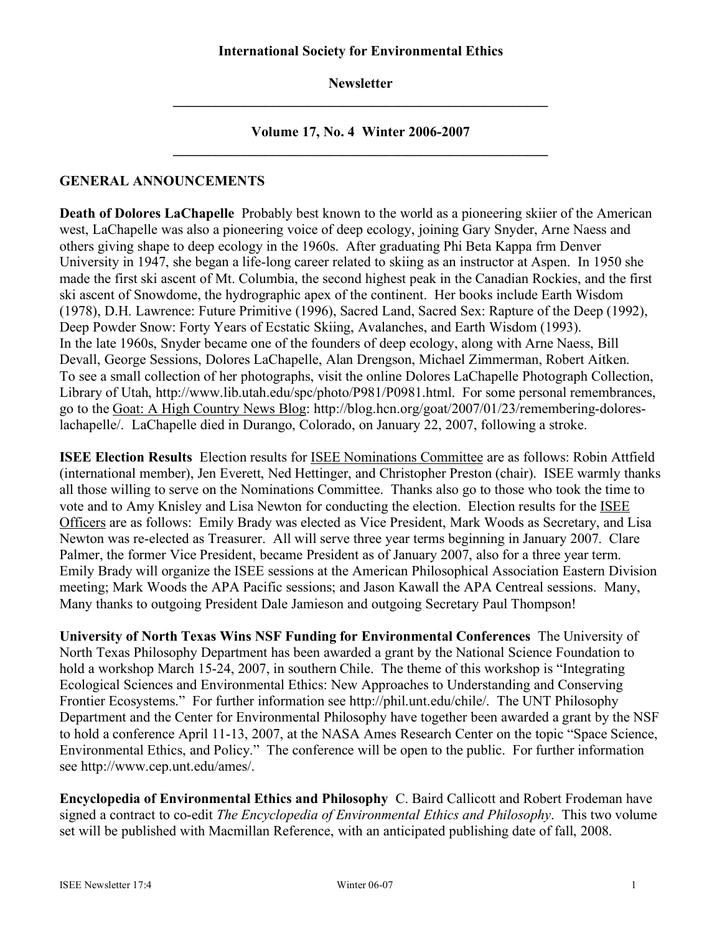**Newsletter \_\_\_\_\_\_\_\_\_\_\_\_\_\_\_\_\_\_\_\_\_\_\_\_\_\_\_\_\_\_\_\_\_\_\_\_\_\_\_\_\_\_\_\_\_\_\_\_\_\_\_\_\_**

**Volume 17, No. 4 Winter 2006-2007**  $\mathcal{L}_\mathcal{L} = \{ \mathcal{L}_\mathcal{L} = \{ \mathcal{L}_\mathcal{L} \}$ 

## **GENERAL ANNOUNCEMENTS**

**Death of Dolores LaChapelle** Probably best known to the world as a pioneering skiier of the American west, LaChapelle was also a pioneering voice of deep ecology, joining Gary Snyder, Arne Naess and others giving shape to deep ecology in the 1960s. After graduating Phi Beta Kappa frm Denver University in 1947, she began a life-long career related to skiing as an instructor at Aspen. In 1950 she made the first ski ascent of Mt. Columbia, the second highest peak in the Canadian Rockies, and the first ski ascent of Snowdome, the hydrographic apex of the continent. Her books include Earth Wisdom (1978), D.H. Lawrence: Future Primitive (1996), Sacred Land, Sacred Sex: Rapture of the Deep (1992), Deep Powder Snow: Forty Years of Ecstatic Skiing, Avalanches, and Earth Wisdom (1993). In the late 1960s, Snyder became one of the founders of deep ecology, along with Arne Naess, Bill Devall, George Sessions, Dolores LaChapelle, Alan Drengson, Michael Zimmerman, Robert Aitken. To see a small collection of her photographs, visit the online Dolores LaChapelle Photograph Collection, Library of Utah, http://www.lib.utah.edu/spc/photo/P981/P0981.html. For some personal remembrances, go to the Goat: A High Country News Blog: http://blog.hcn.org/goat/2007/01/23/remembering-doloreslachapelle/. LaChapelle died in Durango, Colorado, on January 22, 2007, following a stroke.

**ISEE Election Results** Election results for ISEE Nominations Committee are as follows: Robin Attfield (international member), Jen Everett, Ned Hettinger, and Christopher Preston (chair). ISEE warmly thanks all those willing to serve on the Nominations Committee. Thanks also go to those who took the time to vote and to Amy Knisley and Lisa Newton for conducting the election. Election results for the ISEE Officers are as follows: Emily Brady was elected as Vice President, Mark Woods as Secretary, and Lisa Newton was re-elected as Treasurer. All will serve three year terms beginning in January 2007. Clare Palmer, the former Vice President, became President as of January 2007, also for a three year term. Emily Brady will organize the ISEE sessions at the American Philosophical Association Eastern Division meeting; Mark Woods the APA Pacific sessions; and Jason Kawall the APA Centreal sessions. Many, Many thanks to outgoing President Dale Jamieson and outgoing Secretary Paul Thompson!

**University of North Texas Wins NSF Funding for Environmental Conferences** The University of North Texas Philosophy Department has been awarded a grant by the National Science Foundation to hold a workshop March 15-24, 2007, in southern Chile. The theme of this workshop is "Integrating" Ecological Sciences and Environmental Ethics: New Approaches to Understanding and Conserving Frontier Ecosystems." For further information see http://phil.unt.edu/chile/. The UNT Philosophy Department and the Center for Environmental Philosophy have together been awarded a grant by the NSF to hold a conference April 11-13, 2007, at the NASA Ames Research Center on the topic "Space Science, Environmental Ethics, and Policy." The conference will be open to the public. For further information see http://www.cep.unt.edu/ames/.

**Encyclopedia of Environmental Ethics and Philosophy** C. Baird Callicott and Robert Frodeman have signed a contract to co-edit *The Encyclopedia of Environmental Ethics and Philosophy*. This two volume set will be published with Macmillan Reference, with an anticipated publishing date of fall, 2008.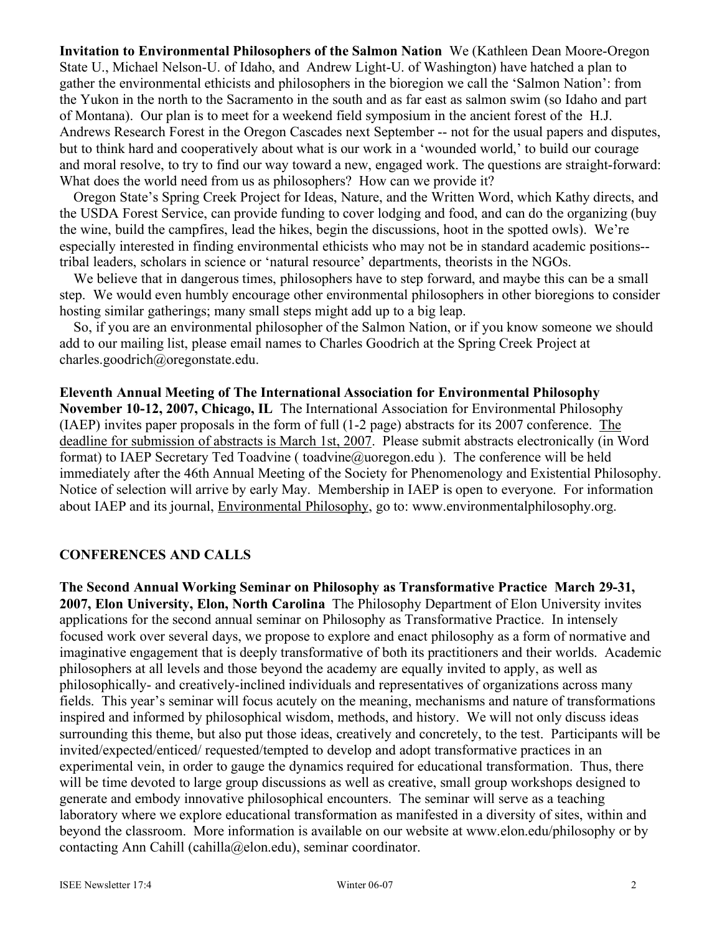**Invitation to Environmental Philosophers of the Salmon Nation** We (Kathleen Dean Moore-Oregon State U., Michael Nelson-U. of Idaho, and Andrew Light-U. of Washington) have hatched a plan to gather the environmental ethicists and philosophers in the bioregion we call the 'Salmon Nation': from the Yukon in the north to the Sacramento in the south and as far east as salmon swim (so Idaho and part of Montana). Our plan is to meet for a weekend field symposium in the ancient forest of the H.J. Andrews Research Forest in the Oregon Cascades next September -- not for the usual papers and disputes, but to think hard and cooperatively about what is our work in a 'wounded world,' to build our courage and moral resolve, to try to find our way toward a new, engaged work. The questions are straight-forward: What does the world need from us as philosophers? How can we provide it?

Oregon State's Spring Creek Project for Ideas, Nature, and the Written Word, which Kathy directs, and the USDA Forest Service, can provide funding to cover lodging and food, and can do the organizing (buy the wine, build the campfires, lead the hikes, begin the discussions, hoot in the spotted owls). We're especially interested in finding environmental ethicists who may not be in standard academic positions- tribal leaders, scholars in science or 'natural resource' departments, theorists in the NGOs.

We believe that in dangerous times, philosophers have to step forward, and maybe this can be a small step. We would even humbly encourage other environmental philosophers in other bioregions to consider hosting similar gatherings; many small steps might add up to a big leap.

So, if you are an environmental philosopher of the Salmon Nation, or if you know someone we should add to our mailing list, please email names to Charles Goodrich at the Spring Creek Project at charles.goodrich@oregonstate.edu.

**Eleventh Annual Meeting of The International Association for Environmental Philosophy November 10-12, 2007, Chicago, IL** The International Association for Environmental Philosophy (IAEP) invites paper proposals in the form of full (1-2 page) abstracts for its 2007 conference. The deadline for submission of abstracts is March 1st, 2007. Please submit abstracts electronically (in Word format) to IAEP Secretary Ted Toadvine ( toadvine  $\omega$ uoregon.edu ). The conference will be held immediately after the 46th Annual Meeting of the Society for Phenomenology and Existential Philosophy. Notice of selection will arrive by early May. Membership in IAEP is open to everyone. For information about IAEP and its journal, Environmental Philosophy, go to: www.environmentalphilosophy.org.

## **CONFERENCES AND CALLS**

**The Second Annual Working Seminar on Philosophy as Transformative Practice March 29-31, 2007, Elon University, Elon, North Carolina** The Philosophy Department of Elon University invites applications for the second annual seminar on Philosophy as Transformative Practice. In intensely focused work over several days, we propose to explore and enact philosophy as a form of normative and imaginative engagement that is deeply transformative of both its practitioners and their worlds. Academic philosophers at all levels and those beyond the academy are equally invited to apply, as well as philosophically- and creatively-inclined individuals and representatives of organizations across many fields. This year's seminar will focus acutely on the meaning, mechanisms and nature of transformations inspired and informed by philosophical wisdom, methods, and history. We will not only discuss ideas surrounding this theme, but also put those ideas, creatively and concretely, to the test. Participants will be invited/expected/enticed/ requested/tempted to develop and adopt transformative practices in an experimental vein, in order to gauge the dynamics required for educational transformation. Thus, there will be time devoted to large group discussions as well as creative, small group workshops designed to generate and embody innovative philosophical encounters. The seminar will serve as a teaching laboratory where we explore educational transformation as manifested in a diversity of sites, within and beyond the classroom. More information is available on our website at www.elon.edu/philosophy or by contacting Ann Cahill (cahilla@elon.edu), seminar coordinator.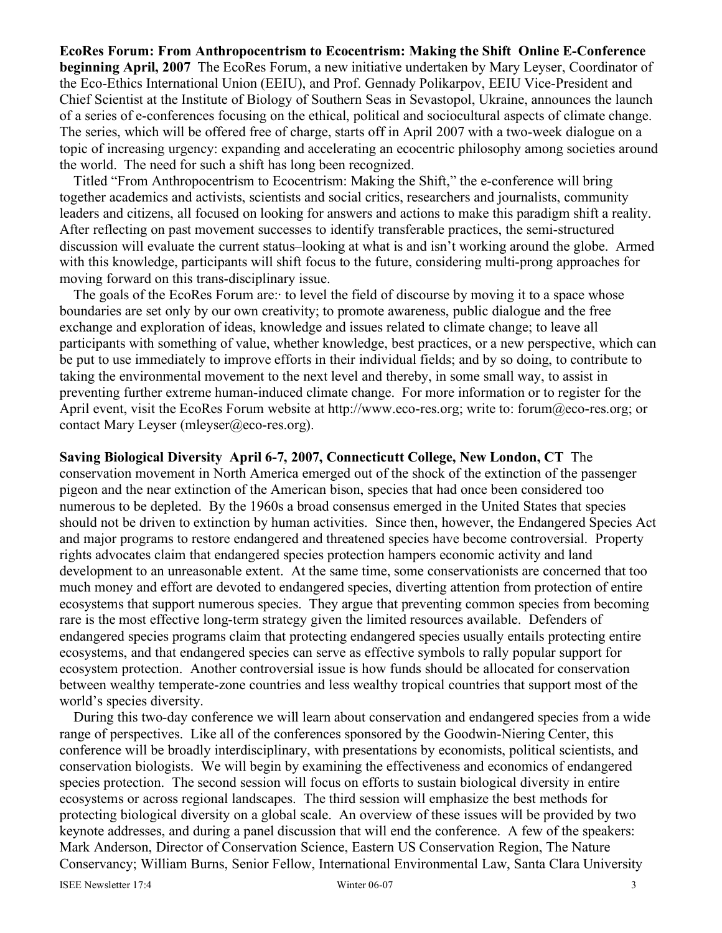# **EcoRes Forum: From Anthropocentrism to Ecocentrism: Making the Shift Online E-Conference beginning April, 2007** The EcoRes Forum, a new initiative undertaken by Mary Leyser, Coordinator of the Eco-Ethics International Union (EEIU), and Prof. Gennady Polikarpov, EEIU Vice-President and Chief Scientist at the Institute of Biology of Southern Seas in Sevastopol, Ukraine, announces the launch of a series of e-conferences focusing on the ethical, political and sociocultural aspects of climate change. The series, which will be offered free of charge, starts off in April 2007 with a two-week dialogue on a topic of increasing urgency: expanding and accelerating an ecocentric philosophy among societies around the world. The need for such a shift has long been recognized.

Titled "From Anthropocentrism to Ecocentrism: Making the Shift," the e-conference will bring together academics and activists, scientists and social critics, researchers and journalists, community leaders and citizens, all focused on looking for answers and actions to make this paradigm shift a reality. After reflecting on past movement successes to identify transferable practices, the semi-structured discussion will evaluate the current status–looking at what is and isn't working around the globe. Armed with this knowledge, participants will shift focus to the future, considering multi-prong approaches for moving forward on this trans-disciplinary issue.

The goals of the EcoRes Forum are:· to level the field of discourse by moving it to a space whose boundaries are set only by our own creativity; to promote awareness, public dialogue and the free exchange and exploration of ideas, knowledge and issues related to climate change; to leave all participants with something of value, whether knowledge, best practices, or a new perspective, which can be put to use immediately to improve efforts in their individual fields; and by so doing, to contribute to taking the environmental movement to the next level and thereby, in some small way, to assist in preventing further extreme human-induced climate change. For more information or to register for the April event, visit the EcoRes Forum website at http://www.eco-res.org; write to: forum@eco-res.org; or contact Mary Leyser (mleyser@eco-res.org).

**Saving Biological Diversity April 6-7, 2007, Connecticutt College, New London, CT** The conservation movement in North America emerged out of the shock of the extinction of the passenger pigeon and the near extinction of the American bison, species that had once been considered too numerous to be depleted. By the 1960s a broad consensus emerged in the United States that species should not be driven to extinction by human activities. Since then, however, the Endangered Species Act and major programs to restore endangered and threatened species have become controversial. Property rights advocates claim that endangered species protection hampers economic activity and land development to an unreasonable extent. At the same time, some conservationists are concerned that too much money and effort are devoted to endangered species, diverting attention from protection of entire ecosystems that support numerous species. They argue that preventing common species from becoming rare is the most effective long-term strategy given the limited resources available. Defenders of endangered species programs claim that protecting endangered species usually entails protecting entire ecosystems, and that endangered species can serve as effective symbols to rally popular support for ecosystem protection. Another controversial issue is how funds should be allocated for conservation between wealthy temperate-zone countries and less wealthy tropical countries that support most of the world's species diversity.

During this two-day conference we will learn about conservation and endangered species from a wide range of perspectives. Like all of the conferences sponsored by the Goodwin-Niering Center, this conference will be broadly interdisciplinary, with presentations by economists, political scientists, and conservation biologists. We will begin by examining the effectiveness and economics of endangered species protection. The second session will focus on efforts to sustain biological diversity in entire ecosystems or across regional landscapes. The third session will emphasize the best methods for protecting biological diversity on a global scale. An overview of these issues will be provided by two keynote addresses, and during a panel discussion that will end the conference. A few of the speakers: Mark Anderson, Director of Conservation Science, Eastern US Conservation Region, The Nature Conservancy; William Burns, Senior Fellow, International Environmental Law, Santa Clara University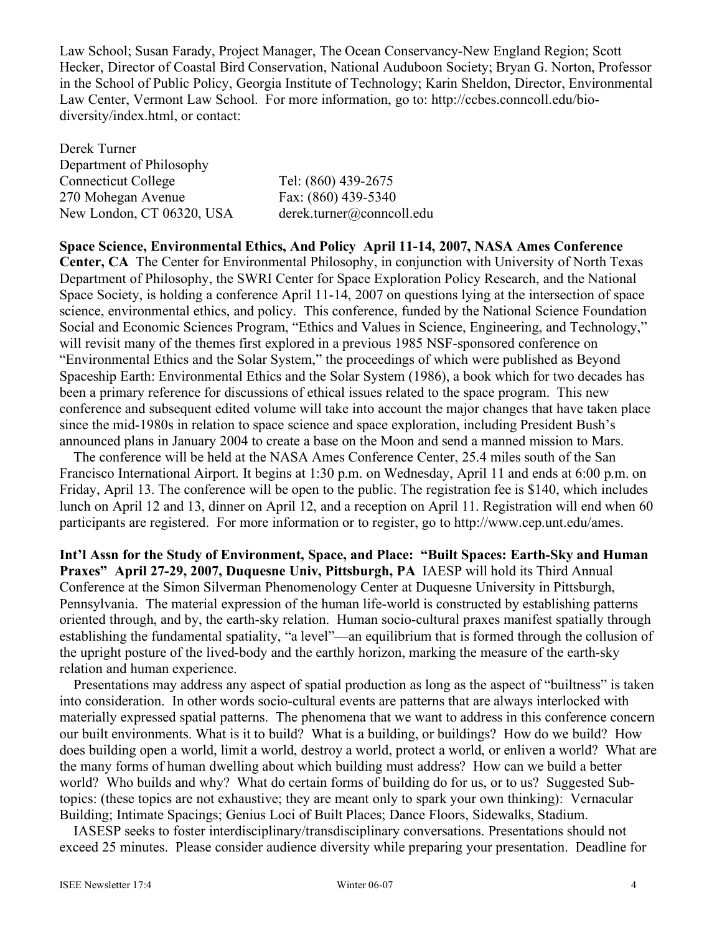Law School; Susan Farady, Project Manager, The Ocean Conservancy-New England Region; Scott Hecker, Director of Coastal Bird Conservation, National Auduboon Society; Bryan G. Norton, Professor in the School of Public Policy, Georgia Institute of Technology; Karin Sheldon, Director, Environmental Law Center, Vermont Law School. For more information, go to: http://ccbes.conncoll.edu/biodiversity/index.html, or contact:

Derek Turner Department of Philosophy Connecticut College Tel: (860) 439-2675 270 Mohegan Avenue Fax: (860) 439-5340 New London, CT 06320, USA derek.turner@conncoll.edu

**Space Science, Environmental Ethics, And Policy April 11-14, 2007, NASA Ames Conference**

**Center, CA** The Center for Environmental Philosophy, in conjunction with University of North Texas Department of Philosophy, the SWRI Center for Space Exploration Policy Research, and the National Space Society, is holding a conference April 11-14, 2007 on questions lying at the intersection of space science, environmental ethics, and policy. This conference, funded by the National Science Foundation Social and Economic Sciences Program, "Ethics and Values in Science, Engineering, and Technology," will revisit many of the themes first explored in a previous 1985 NSF-sponsored conference on "Environmental Ethics and the Solar System," the proceedings of which were published as Beyond Spaceship Earth: Environmental Ethics and the Solar System (1986), a book which for two decades has been a primary reference for discussions of ethical issues related to the space program. This new conference and subsequent edited volume will take into account the major changes that have taken place since the mid-1980s in relation to space science and space exploration, including President Bush's announced plans in January 2004 to create a base on the Moon and send a manned mission to Mars.

The conference will be held at the NASA Ames Conference Center, 25.4 miles south of the San Francisco International Airport. It begins at 1:30 p.m. on Wednesday, April 11 and ends at 6:00 p.m. on Friday, April 13. The conference will be open to the public. The registration fee is \$140, which includes lunch on April 12 and 13, dinner on April 12, and a reception on April 11. Registration will end when 60 participants are registered. For more information or to register, go to http://www.cep.unt.edu/ames.

**Int'l Assn for the Study of Environment, Space, and Place: "Built Spaces: Earth-Sky and Human Praxes" April 27-29, 2007, Duquesne Univ, Pittsburgh, PA** IAESP will hold its Third Annual Conference at the Simon Silverman Phenomenology Center at Duquesne University in Pittsburgh, Pennsylvania. The material expression of the human life-world is constructed by establishing patterns oriented through, and by, the earth-sky relation. Human socio-cultural praxes manifest spatially through establishing the fundamental spatiality, "a level"—an equilibrium that is formed through the collusion of the upright posture of the lived-body and the earthly horizon, marking the measure of the earth-sky relation and human experience.

Presentations may address any aspect of spatial production as long as the aspect of "builtness" is taken into consideration. In other words socio-cultural events are patterns that are always interlocked with materially expressed spatial patterns. The phenomena that we want to address in this conference concern our built environments. What is it to build? What is a building, or buildings? How do we build? How does building open a world, limit a world, destroy a world, protect a world, or enliven a world? What are the many forms of human dwelling about which building must address? How can we build a better world? Who builds and why? What do certain forms of building do for us, or to us? Suggested Subtopics: (these topics are not exhaustive; they are meant only to spark your own thinking): Vernacular Building; Intimate Spacings; Genius Loci of Built Places; Dance Floors, Sidewalks, Stadium.

IASESP seeks to foster interdisciplinary/transdisciplinary conversations. Presentations should not exceed 25 minutes. Please consider audience diversity while preparing your presentation. Deadline for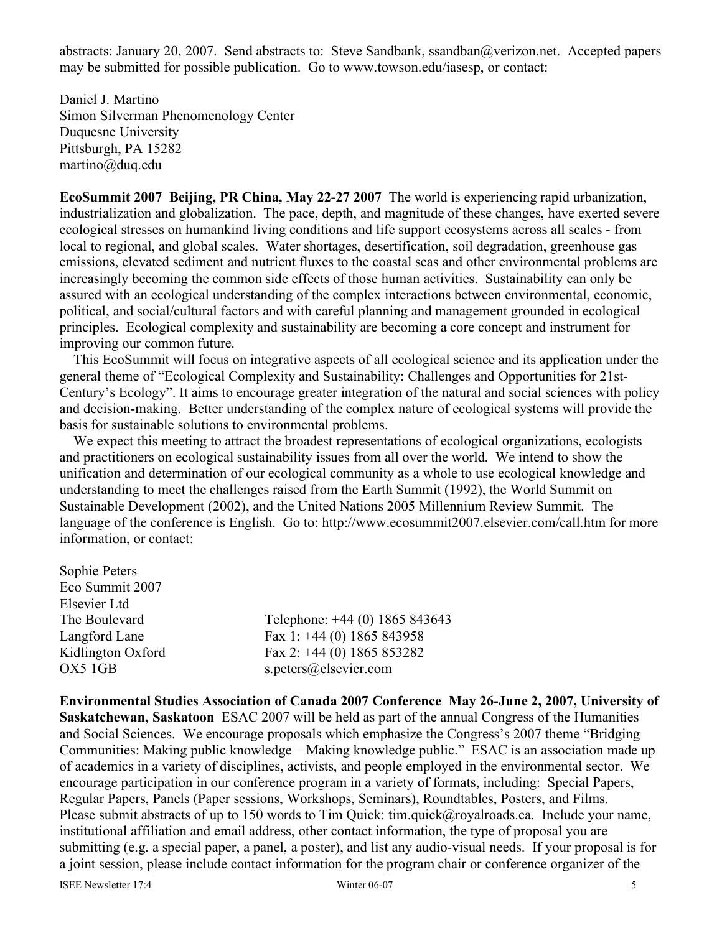abstracts: January 20, 2007. Send abstracts to: Steve Sandbank, ssandban@verizon.net. Accepted papers may be submitted for possible publication. Go to www.towson.edu/iasesp, or contact:

Daniel J. Martino Simon Silverman Phenomenology Center Duquesne University Pittsburgh, PA 15282 martino@duq.edu

**EcoSummit 2007 Beijing, PR China, May 22-27 2007** The world is experiencing rapid urbanization, industrialization and globalization. The pace, depth, and magnitude of these changes, have exerted severe ecological stresses on humankind living conditions and life support ecosystems across all scales - from local to regional, and global scales. Water shortages, desertification, soil degradation, greenhouse gas emissions, elevated sediment and nutrient fluxes to the coastal seas and other environmental problems are increasingly becoming the common side effects of those human activities. Sustainability can only be assured with an ecological understanding of the complex interactions between environmental, economic, political, and social/cultural factors and with careful planning and management grounded in ecological principles. Ecological complexity and sustainability are becoming a core concept and instrument for improving our common future.

This EcoSummit will focus on integrative aspects of all ecological science and its application under the general theme of "Ecological Complexity and Sustainability: Challenges and Opportunities for 21st-Century's Ecology". It aims to encourage greater integration of the natural and social sciences with policy and decision-making. Better understanding of the complex nature of ecological systems will provide the basis for sustainable solutions to environmental problems.

We expect this meeting to attract the broadest representations of ecological organizations, ecologists and practitioners on ecological sustainability issues from all over the world. We intend to show the unification and determination of our ecological community as a whole to use ecological knowledge and understanding to meet the challenges raised from the Earth Summit (1992), the World Summit on Sustainable Development (2002), and the United Nations 2005 Millennium Review Summit. The language of the conference is English. Go to: http://www.ecosummit2007.elsevier.com/call.htm for more information, or contact:

| Telephone: +44 (0) 1865 843643 |
|--------------------------------|
| Fax 1: $+44$ (0) 1865 843958   |
| Fax 2: $+44$ (0) 1865 853282   |
| s.peters@elsevier.com          |
|                                |

**Environmental Studies Association of Canada 2007 Conference May 26-June 2, 2007, University of Saskatchewan, Saskatoon** ESAC 2007 will be held as part of the annual Congress of the Humanities and Social Sciences. We encourage proposals which emphasize the Congress's 2007 theme "Bridging Communities: Making public knowledge – Making knowledge public." ESAC is an association made up of academics in a variety of disciplines, activists, and people employed in the environmental sector. We encourage participation in our conference program in a variety of formats, including: Special Papers, Regular Papers, Panels (Paper sessions, Workshops, Seminars), Roundtables, Posters, and Films. Please submit abstracts of up to 150 words to Tim Quick: tim.quick@royalroads.ca. Include your name, institutional affiliation and email address, other contact information, the type of proposal you are submitting (e.g. a special paper, a panel, a poster), and list any audio-visual needs. If your proposal is for a joint session, please include contact information for the program chair or conference organizer of the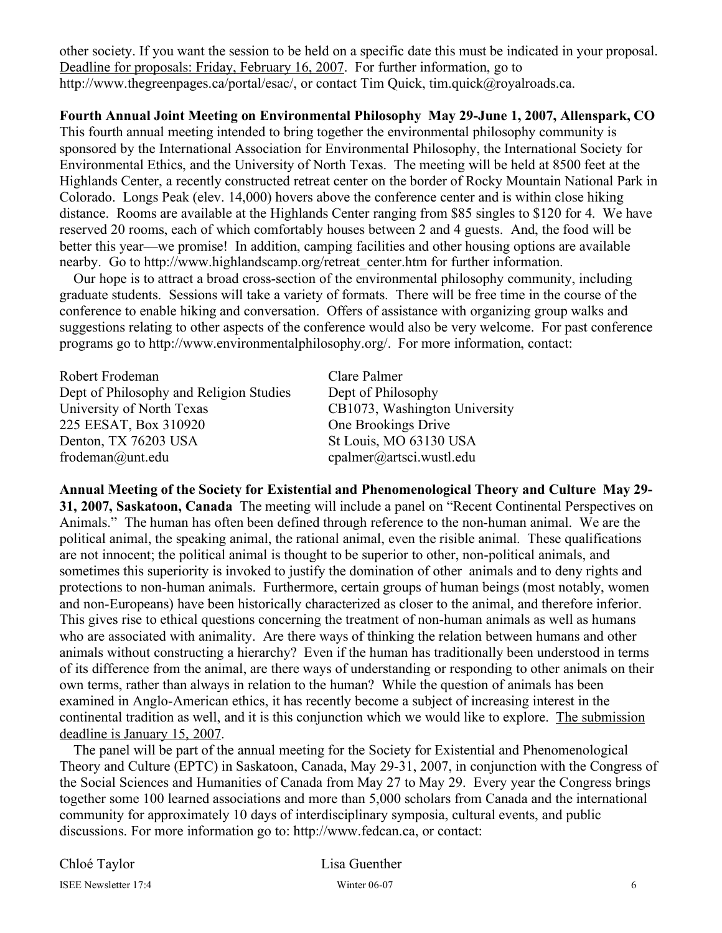other society. If you want the session to be held on a specific date this must be indicated in your proposal. Deadline for proposals: Friday, February 16, 2007. For further information, go to http://www.thegreenpages.ca/portal/esac/, or contact Tim Quick, tim.quick@royalroads.ca.

**Fourth Annual Joint Meeting on Environmental Philosophy May 29-June 1, 2007, Allenspark, CO**

This fourth annual meeting intended to bring together the environmental philosophy community is sponsored by the International Association for Environmental Philosophy, the International Society for Environmental Ethics, and the University of North Texas. The meeting will be held at 8500 feet at the Highlands Center, a recently constructed retreat center on the border of Rocky Mountain National Park in Colorado. Longs Peak (elev. 14,000) hovers above the conference center and is within close hiking distance. Rooms are available at the Highlands Center ranging from \$85 singles to \$120 for 4. We have reserved 20 rooms, each of which comfortably houses between 2 and 4 guests. And, the food will be better this year—we promise! In addition, camping facilities and other housing options are available nearby. Go to http://www.highlandscamp.org/retreat\_center.htm for further information.

Our hope is to attract a broad cross-section of the environmental philosophy community, including graduate students. Sessions will take a variety of formats. There will be free time in the course of the conference to enable hiking and conversation. Offers of assistance with organizing group walks and suggestions relating to other aspects of the conference would also be very welcome. For past conference programs go to http://www.environmentalphilosophy.org/. For more information, contact:

Robert Frodeman Clare Palmer Dept of Philosophy and Religion Studies Dept of Philosophy University of North Texas CB1073, Washington University 225 EESAT, Box 310920 One Brookings Drive Denton, TX 76203 USA St Louis, MO 63130 USA frodeman@unt.edu cpalmer@artsci.wustl.edu

**Annual Meeting of the Society for Existential and Phenomenological Theory and Culture May 29- 31, 2007, Saskatoon, Canada** The meeting will include a panel on "Recent Continental Perspectives on Animals." The human has often been defined through reference to the non-human animal. We are the political animal, the speaking animal, the rational animal, even the risible animal. These qualifications are not innocent; the political animal is thought to be superior to other, non-political animals, and sometimes this superiority is invoked to justify the domination of other animals and to deny rights and protections to non-human animals. Furthermore, certain groups of human beings (most notably, women and non-Europeans) have been historically characterized as closer to the animal, and therefore inferior. This gives rise to ethical questions concerning the treatment of non-human animals as well as humans who are associated with animality. Are there ways of thinking the relation between humans and other animals without constructing a hierarchy? Even if the human has traditionally been understood in terms of its difference from the animal, are there ways of understanding or responding to other animals on their own terms, rather than always in relation to the human? While the question of animals has been examined in Anglo-American ethics, it has recently become a subject of increasing interest in the continental tradition as well, and it is this conjunction which we would like to explore. The submission deadline is January 15, 2007.

The panel will be part of the annual meeting for the Society for Existential and Phenomenological Theory and Culture (EPTC) in Saskatoon, Canada, May 29-31, 2007, in conjunction with the Congress of the Social Sciences and Humanities of Canada from May 27 to May 29. Every year the Congress brings together some 100 learned associations and more than 5,000 scholars from Canada and the international community for approximately 10 days of interdisciplinary symposia, cultural events, and public discussions. For more information go to: http://www.fedcan.ca, or contact: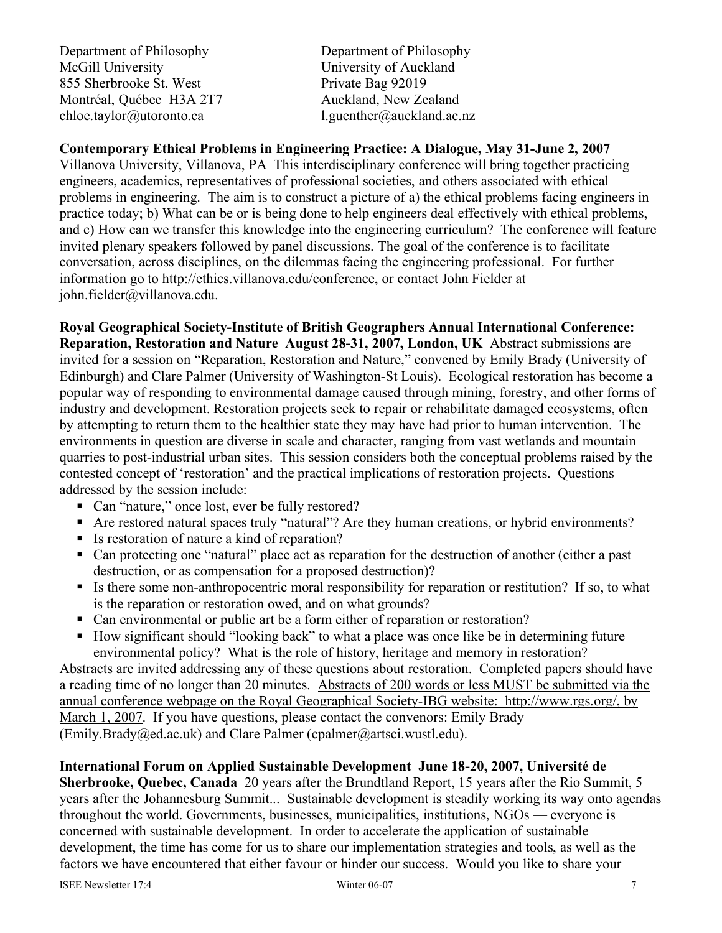Department of Philosophy Department of Philosophy McGill University University of Auckland 855 Sherbrooke St. West Private Bag 92019 Montréal, Québec H3A 2T7 Auckland, New Zealand chloe.taylor@utoronto.ca l.guenther@auckland.ac.nz

# **Contemporary Ethical Problems in Engineering Practice: A Dialogue, May 31-June 2, 2007**

Villanova University, Villanova, PA This interdisciplinary conference will bring together practicing engineers, academics, representatives of professional societies, and others associated with ethical problems in engineering. The aim is to construct a picture of a) the ethical problems facing engineers in practice today; b) What can be or is being done to help engineers deal effectively with ethical problems, and c) How can we transfer this knowledge into the engineering curriculum? The conference will feature invited plenary speakers followed by panel discussions. The goal of the conference is to facilitate conversation, across disciplines, on the dilemmas facing the engineering professional. For further information go to http://ethics.villanova.edu/conference, or contact John Fielder at john.fielder@villanova.edu.

**Royal Geographical Society-Institute of British Geographers Annual International Conference: Reparation, Restoration and Nature August 28-31, 2007, London, UK** Abstract submissions are invited for a session on "Reparation, Restoration and Nature," convened by Emily Brady (University of Edinburgh) and Clare Palmer (University of Washington-St Louis). Ecological restoration has become a popular way of responding to environmental damage caused through mining, forestry, and other forms of industry and development. Restoration projects seek to repair or rehabilitate damaged ecosystems, often by attempting to return them to the healthier state they may have had prior to human intervention. The environments in question are diverse in scale and character, ranging from vast wetlands and mountain quarries to post-industrial urban sites. This session considers both the conceptual problems raised by the contested concept of 'restoration' and the practical implications of restoration projects. Questions addressed by the session include:

- Can "nature," once lost, ever be fully restored?
- Are restored natural spaces truly "natural"? Are they human creations, or hybrid environments?
- Is restoration of nature a kind of reparation?
- Can protecting one "natural" place act as reparation for the destruction of another (either a past destruction, or as compensation for a proposed destruction)?
- If is there some non-anthropocentric moral responsibility for reparation or restitution? If so, to what is the reparation or restoration owed, and on what grounds?
- Can environmental or public art be a form either of reparation or restoration?
- How significant should "looking back" to what a place was once like be in determining future environmental policy? What is the role of history, heritage and memory in restoration?

Abstracts are invited addressing any of these questions about restoration. Completed papers should have a reading time of no longer than 20 minutes. Abstracts of 200 words or less MUST be submitted via the annual conference webpage on the Royal Geographical Society-IBG website: http://www.rgs.org/, by March 1, 2007. If you have questions, please contact the convenors: Emily Brady (Emily.Brady@ed.ac.uk) and Clare Palmer (cpalmer@artsci.wustl.edu).

# **International Forum on Applied Sustainable Development June 18-20, 2007, Université de**

**Sherbrooke, Quebec, Canada** 20 years after the Brundtland Report, 15 years after the Rio Summit, 5 years after the Johannesburg Summit... Sustainable development is steadily working its way onto agendas throughout the world. Governments, businesses, municipalities, institutions, NGOs — everyone is concerned with sustainable development. In order to accelerate the application of sustainable development, the time has come for us to share our implementation strategies and tools, as well as the factors we have encountered that either favour or hinder our success. Would you like to share your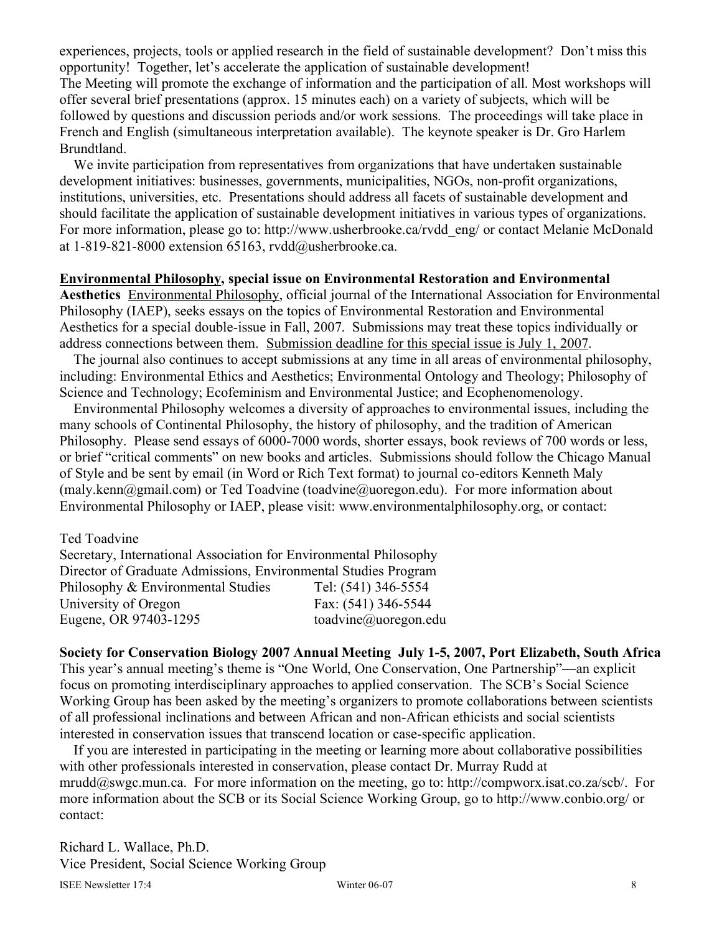experiences, projects, tools or applied research in the field of sustainable development? Don't miss this opportunity! Together, let's accelerate the application of sustainable development! The Meeting will promote the exchange of information and the participation of all. Most workshops will offer several brief presentations (approx. 15 minutes each) on a variety of subjects, which will be followed by questions and discussion periods and/or work sessions. The proceedings will take place in French and English (simultaneous interpretation available). The keynote speaker is Dr. Gro Harlem Brundtland.

We invite participation from representatives from organizations that have undertaken sustainable development initiatives: businesses, governments, municipalities, NGOs, non-profit organizations, institutions, universities, etc. Presentations should address all facets of sustainable development and should facilitate the application of sustainable development initiatives in various types of organizations. For more information, please go to: http://www.usherbrooke.ca/rvdd\_eng/ or contact Melanie McDonald at 1-819-821-8000 extension 65163,  $rvdd@u$ usherbrooke.ca.

#### **Environmental Philosophy, special issue on Environmental Restoration and Environmental**

**Aesthetics** Environmental Philosophy, official journal of the International Association for Environmental Philosophy (IAEP), seeks essays on the topics of Environmental Restoration and Environmental Aesthetics for a special double-issue in Fall, 2007. Submissions may treat these topics individually or address connections between them. Submission deadline for this special issue is July 1, 2007.

The journal also continues to accept submissions at any time in all areas of environmental philosophy, including: Environmental Ethics and Aesthetics; Environmental Ontology and Theology; Philosophy of Science and Technology; Ecofeminism and Environmental Justice; and Ecophenomenology.

Environmental Philosophy welcomes a diversity of approaches to environmental issues, including the many schools of Continental Philosophy, the history of philosophy, and the tradition of American Philosophy. Please send essays of 6000-7000 words, shorter essays, book reviews of 700 words or less, or brief "critical comments" on new books and articles. Submissions should follow the Chicago Manual of Style and be sent by email (in Word or Rich Text format) to journal co-editors Kenneth Maly (maly.kenn@gmail.com) or Ted Toadvine (toadvine@uoregon.edu). For more information about Environmental Philosophy or IAEP, please visit: www.environmentalphilosophy.org, or contact:

Ted Toadvine Secretary, International Association for Environmental Philosophy Director of Graduate Admissions, Environmental Studies Program

Philosophy & Environmental Studies Tel: (541) 346-5554 University of Oregon Fax: (541) 346-5544 Eugene, OR 97403-1295 toadvine@uoregon.edu

**Society for Conservation Biology 2007 Annual Meeting July 1-5, 2007, Port Elizabeth, South Africa** This year's annual meeting's theme is "One World, One Conservation, One Partnership"—an explicit focus on promoting interdisciplinary approaches to applied conservation. The SCB's Social Science Working Group has been asked by the meeting's organizers to promote collaborations between scientists of all professional inclinations and between African and non-African ethicists and social scientists interested in conservation issues that transcend location or case-specific application.

If you are interested in participating in the meeting or learning more about collaborative possibilities with other professionals interested in conservation, please contact Dr. Murray Rudd at mrudd@swgc.mun.ca. For more information on the meeting, go to: http://compworx.isat.co.za/scb/. For more information about the SCB or its Social Science Working Group, go to http://www.conbio.org/ or contact:

Richard L. Wallace, Ph.D. Vice President, Social Science Working Group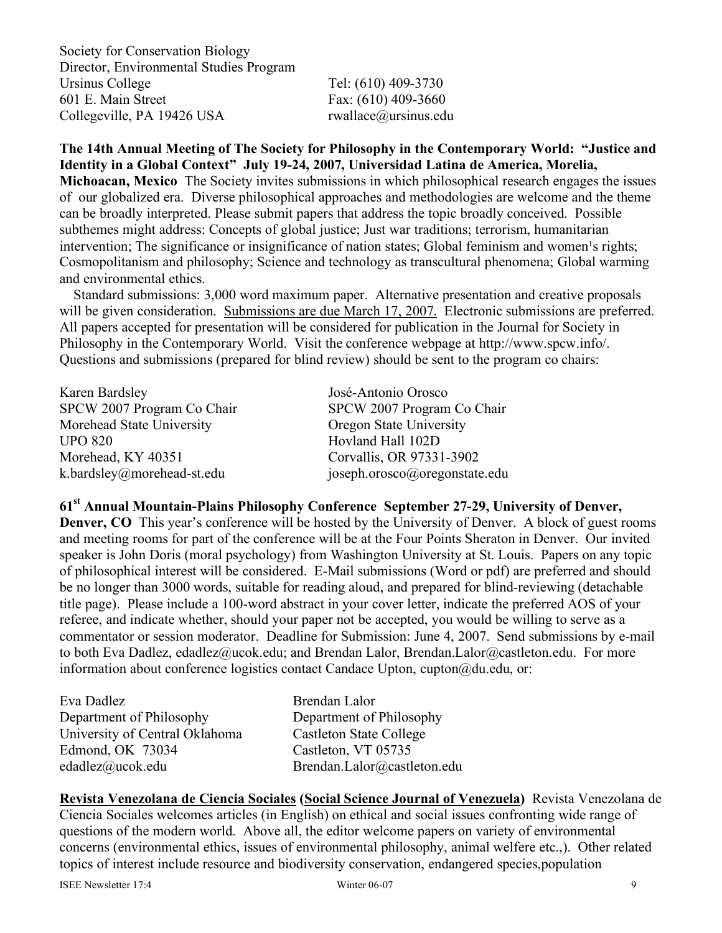Society for Conservation Biology Director, Environmental Studies Program Ursinus College Tel: (610) 409-3730 601 E. Main Street Fax: (610) 409-3660 Collegeville, PA 19426 USA rwallace@ursinus.edu

**The 14th Annual Meeting of The Society for Philosophy in the Contemporary World: "Justice and Identity in a Global Context" July 19-24, 2007, Universidad Latina de America, Morelia, Michoacan, Mexico** The Society invites submissions in which philosophical research engages the issues of our globalized era. Diverse philosophical approaches and methodologies are welcome and the theme can be broadly interpreted. Please submit papers that address the topic broadly conceived. Possible subthemes might address: Concepts of global justice; Just war traditions; terrorism, humanitarian intervention; The significance or insignificance of nation states; Global feminism and women's rights; Cosmopolitanism and philosophy; Science and technology as transcultural phenomena; Global warming and environmental ethics.

Standard submissions: 3,000 word maximum paper. Alternative presentation and creative proposals will be given consideration. Submissions are due March 17, 2007. Electronic submissions are preferred. All papers accepted for presentation will be considered for publication in the Journal for Society in Philosophy in the Contemporary World. Visit the conference webpage at http://www.spcw.info/. Questions and submissions (prepared for blind review) should be sent to the program co chairs:

Karen Bardsley José-Antonio Orosco SPCW 2007 Program Co Chair SPCW 2007 Program Co Chair Morehead State University Oregon State University UPO 820 Hovland Hall 102D Morehead, KY 40351 Corvallis, OR 97331-3902

k.bardsley@morehead-st.edu joseph.orosco@oregonstate.edu

**61st Annual Mountain-Plains Philosophy Conference September 27-29, University of Denver, Denver, CO** This year's conference will be hosted by the University of Denver. A block of guest rooms and meeting rooms for part of the conference will be at the Four Points Sheraton in Denver. Our invited speaker is John Doris (moral psychology) from Washington University at St. Louis. Papers on any topic of philosophical interest will be considered. E-Mail submissions (Word or pdf) are preferred and should be no longer than 3000 words, suitable for reading aloud, and prepared for blind-reviewing (detachable title page). Please include a 100-word abstract in your cover letter, indicate the preferred AOS of your referee, and indicate whether, should your paper not be accepted, you would be willing to serve as a commentator or session moderator. Deadline for Submission: June 4, 2007. Send submissions by e-mail to both Eva Dadlez, edadlez@ucok.edu; and Brendan Lalor, Brendan.Lalor@castleton.edu. For more information about conference logistics contact Candace Upton, cupton $@du$ .edu, or:

| Eva Dadlez                     | Brendan Lalor                  |
|--------------------------------|--------------------------------|
| Department of Philosophy       | Department of Philosophy       |
| University of Central Oklahoma | <b>Castleton State College</b> |
| Edmond, OK 73034               | Castleton, VT 05735            |
| edadlez@ucok.edu               | Brendan.Lalor@castleton.edu    |

**Revista Venezolana de Ciencia Sociales (Social Science Journal of Venezuela)** Revista Venezolana de Ciencia Sociales welcomes articles (in English) on ethical and social issues confronting wide range of questions of the modern world. Above all, the editor welcome papers on variety of environmental concerns (environmental ethics, issues of environmental philosophy, animal welfere etc.,). Other related topics of interest include resource and biodiversity conservation, endangered species,population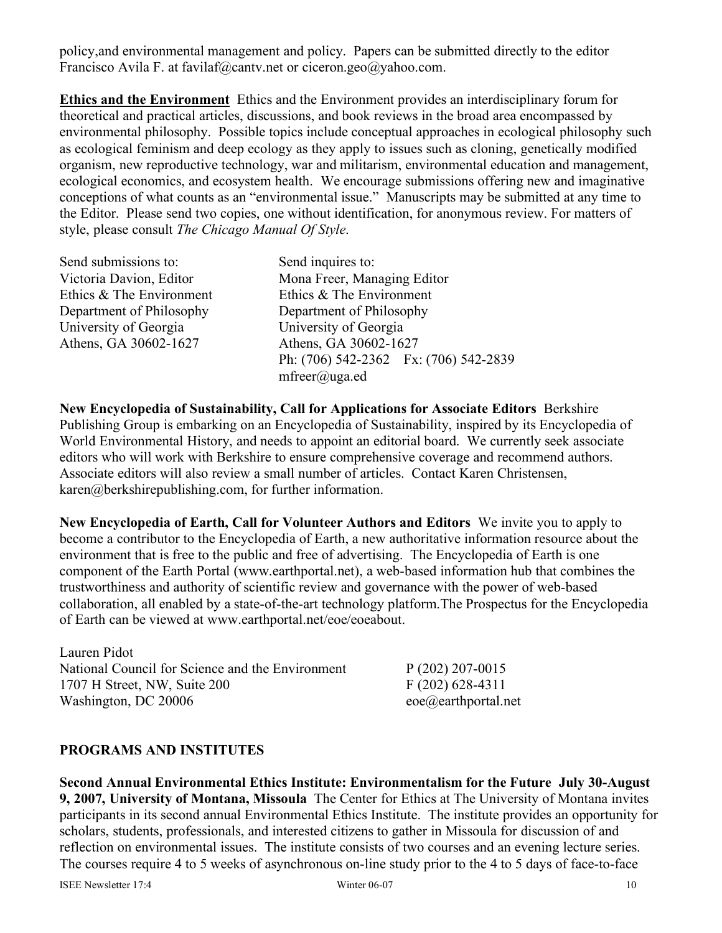policy,and environmental management and policy. Papers can be submitted directly to the editor Francisco Avila F. at favilaf@cantv.net or ciceron.geo@yahoo.com.

**Ethics and the Environment** Ethics and the Environment provides an interdisciplinary forum for theoretical and practical articles, discussions, and book reviews in the broad area encompassed by environmental philosophy. Possible topics include conceptual approaches in ecological philosophy such as ecological feminism and deep ecology as they apply to issues such as cloning, genetically modified organism, new reproductive technology, war and militarism, environmental education and management, ecological economics, and ecosystem health. We encourage submissions offering new and imaginative conceptions of what counts as an "environmental issue." Manuscripts may be submitted at any time to the Editor. Please send two copies, one without identification, for anonymous review. For matters of style, please consult *The Chicago Manual Of Style*.

| Send submissions to:     | Send inquires to:                     |
|--------------------------|---------------------------------------|
| Victoria Davion, Editor  | Mona Freer, Managing Editor           |
| Ethics & The Environment | Ethics & The Environment              |
| Department of Philosophy | Department of Philosophy              |
| University of Georgia    | University of Georgia                 |
| Athens, GA 30602-1627    | Athens, GA 30602-1627                 |
|                          | Ph: (706) 542-2362 Fx: (706) 542-2839 |
|                          | $m \text{freer}(a)$ uga.ed            |

**New Encyclopedia of Sustainability, Call for Applications for Associate Editors** Berkshire Publishing Group is embarking on an Encyclopedia of Sustainability, inspired by its Encyclopedia of World Environmental History, and needs to appoint an editorial board. We currently seek associate editors who will work with Berkshire to ensure comprehensive coverage and recommend authors. Associate editors will also review a small number of articles. Contact Karen Christensen, karen@berkshirepublishing.com, for further information.

**New Encyclopedia of Earth, Call for Volunteer Authors and Editors** We invite you to apply to become a contributor to the Encyclopedia of Earth, a new authoritative information resource about the environment that is free to the public and free of advertising. The Encyclopedia of Earth is one component of the Earth Portal (www.earthportal.net), a web-based information hub that combines the trustworthiness and authority of scientific review and governance with the power of web-based collaboration, all enabled by a state-of-the-art technology platform.The Prospectus for the Encyclopedia of Earth can be viewed at www.earthportal.net/eoe/eoeabout.

Lauren Pidot National Council for Science and the Environment P (202) 207-0015 1707 H Street, NW, Suite 200 F (202) 628-4311 Washington, DC 20006 eoe@earthportal.net

### **PROGRAMS AND INSTITUTES**

**Second Annual Environmental Ethics Institute: Environmentalism for the Future July 30-August 9, 2007, University of Montana, Missoula** The Center for Ethics at The University of Montana invites participants in its second annual Environmental Ethics Institute. The institute provides an opportunity for scholars, students, professionals, and interested citizens to gather in Missoula for discussion of and reflection on environmental issues. The institute consists of two courses and an evening lecture series. The courses require 4 to 5 weeks of asynchronous on-line study prior to the 4 to 5 days of face-to-face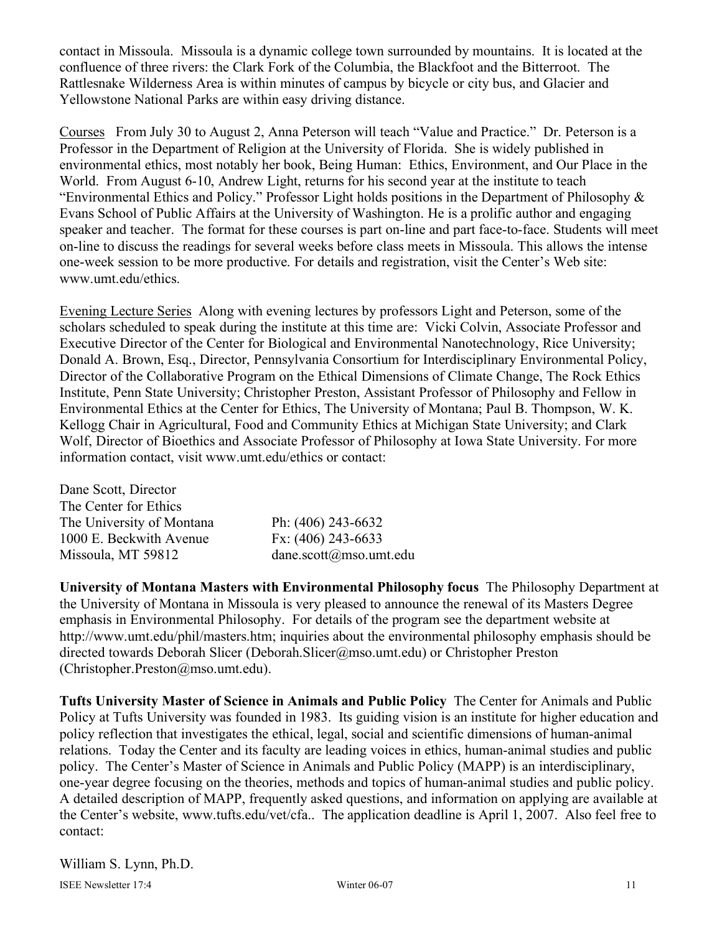contact in Missoula. Missoula is a dynamic college town surrounded by mountains. It is located at the confluence of three rivers: the Clark Fork of the Columbia, the Blackfoot and the Bitterroot. The Rattlesnake Wilderness Area is within minutes of campus by bicycle or city bus, and Glacier and Yellowstone National Parks are within easy driving distance.

Courses From July 30 to August 2, Anna Peterson will teach "Value and Practice." Dr. Peterson is a Professor in the Department of Religion at the University of Florida. She is widely published in environmental ethics, most notably her book, Being Human: Ethics, Environment, and Our Place in the World. From August 6-10, Andrew Light, returns for his second year at the institute to teach "Environmental Ethics and Policy." Professor Light holds positions in the Department of Philosophy & Evans School of Public Affairs at the University of Washington. He is a prolific author and engaging speaker and teacher. The format for these courses is part on-line and part face-to-face. Students will meet on-line to discuss the readings for several weeks before class meets in Missoula. This allows the intense one-week session to be more productive. For details and registration, visit the Center's Web site: www.umt.edu/ethics.

Evening Lecture Series Along with evening lectures by professors Light and Peterson, some of the scholars scheduled to speak during the institute at this time are: Vicki Colvin, Associate Professor and Executive Director of the Center for Biological and Environmental Nanotechnology, Rice University; Donald A. Brown, Esq., Director, Pennsylvania Consortium for Interdisciplinary Environmental Policy, Director of the Collaborative Program on the Ethical Dimensions of Climate Change, The Rock Ethics Institute, Penn State University; Christopher Preston, Assistant Professor of Philosophy and Fellow in Environmental Ethics at the Center for Ethics, The University of Montana; Paul B. Thompson, W. K. Kellogg Chair in Agricultural, Food and Community Ethics at Michigan State University; and Clark Wolf, Director of Bioethics and Associate Professor of Philosophy at Iowa State University. For more information contact, visit www.umt.edu/ethics or contact:

| Dane Scott, Director      |                        |
|---------------------------|------------------------|
| The Center for Ethics     |                        |
| The University of Montana | Ph: $(406)$ 243-6632   |
| 1000 E. Beckwith Avenue   | Fx: $(406)$ 243-6633   |
| Missoula, MT 59812        | dane.scott@mso.umt.edu |

**University of Montana Masters with Environmental Philosophy focus** The Philosophy Department at the University of Montana in Missoula is very pleased to announce the renewal of its Masters Degree emphasis in Environmental Philosophy. For details of the program see the department website at http://www.umt.edu/phil/masters.htm; inquiries about the environmental philosophy emphasis should be directed towards Deborah Slicer (Deborah.Slicer@mso.umt.edu) or Christopher Preston (Christopher.Preston@mso.umt.edu).

**Tufts University Master of Science in Animals and Public Policy** The Center for Animals and Public Policy at Tufts University was founded in 1983. Its guiding vision is an institute for higher education and policy reflection that investigates the ethical, legal, social and scientific dimensions of human-animal relations. Today the Center and its faculty are leading voices in ethics, human-animal studies and public policy. The Center's Master of Science in Animals and Public Policy (MAPP) is an interdisciplinary, one-year degree focusing on the theories, methods and topics of human-animal studies and public policy. A detailed description of MAPP, frequently asked questions, and information on applying are available at the Center's website, www.tufts.edu/vet/cfa.. The application deadline is April 1, 2007. Also feel free to contact: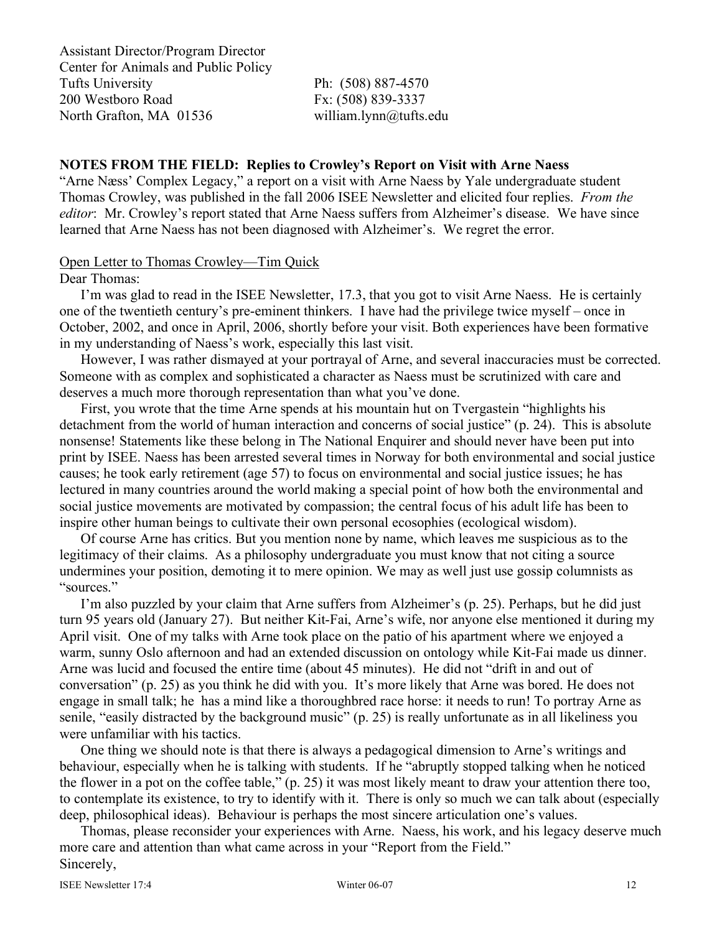Assistant Director/Program Director Center for Animals and Public Policy Tufts University Ph: (508) 887-4570 200 Westboro Road Fx: (508) 839-3337 North Grafton, MA 01536 william.lynn@tufts.edu

# **NOTES FROM THE FIELD: Replies to Crowley's Report on Visit with Arne Naess**

"Arne Næss' Complex Legacy," a report on a visit with Arne Naess by Yale undergraduate student Thomas Crowley, was published in the fall 2006 ISEE Newsletter and elicited four replies. *From the editor*: Mr. Crowley's report stated that Arne Naess suffers from Alzheimer's disease. We have since learned that Arne Naess has not been diagnosed with Alzheimer's. We regret the error.

#### Open Letter to Thomas Crowley—Tim Quick

Dear Thomas:

I'm was glad to read in the ISEE Newsletter, 17.3, that you got to visit Arne Naess. He is certainly one of the twentieth century's pre-eminent thinkers. I have had the privilege twice myself – once in October, 2002, and once in April, 2006, shortly before your visit. Both experiences have been formative in my understanding of Naess's work, especially this last visit.

However, I was rather dismayed at your portrayal of Arne, and several inaccuracies must be corrected. Someone with as complex and sophisticated a character as Naess must be scrutinized with care and deserves a much more thorough representation than what you've done.

First, you wrote that the time Arne spends at his mountain hut on Tvergastein "highlights his detachment from the world of human interaction and concerns of social justice" (p. 24). This is absolute nonsense! Statements like these belong in The National Enquirer and should never have been put into print by ISEE. Naess has been arrested several times in Norway for both environmental and social justice causes; he took early retirement (age 57) to focus on environmental and social justice issues; he has lectured in many countries around the world making a special point of how both the environmental and social justice movements are motivated by compassion; the central focus of his adult life has been to inspire other human beings to cultivate their own personal ecosophies (ecological wisdom).

Of course Arne has critics. But you mention none by name, which leaves me suspicious as to the legitimacy of their claims. As a philosophy undergraduate you must know that not citing a source undermines your position, demoting it to mere opinion. We may as well just use gossip columnists as "sources."

I'm also puzzled by your claim that Arne suffers from Alzheimer's (p. 25). Perhaps, but he did just turn 95 years old (January 27). But neither Kit-Fai, Arne's wife, nor anyone else mentioned it during my April visit. One of my talks with Arne took place on the patio of his apartment where we enjoyed a warm, sunny Oslo afternoon and had an extended discussion on ontology while Kit-Fai made us dinner. Arne was lucid and focused the entire time (about 45 minutes). He did not "drift in and out of conversation" (p. 25) as you think he did with you. It's more likely that Arne was bored. He does not engage in small talk; he has a mind like a thoroughbred race horse: it needs to run! To portray Arne as senile, "easily distracted by the background music" (p. 25) is really unfortunate as in all likeliness you were unfamiliar with his tactics.

One thing we should note is that there is always a pedagogical dimension to Arne's writings and behaviour, especially when he is talking with students. If he "abruptly stopped talking when he noticed the flower in a pot on the coffee table," (p. 25) it was most likely meant to draw your attention there too, to contemplate its existence, to try to identify with it. There is only so much we can talk about (especially deep, philosophical ideas). Behaviour is perhaps the most sincere articulation one's values.

Thomas, please reconsider your experiences with Arne. Naess, his work, and his legacy deserve much more care and attention than what came across in your "Report from the Field." Sincerely,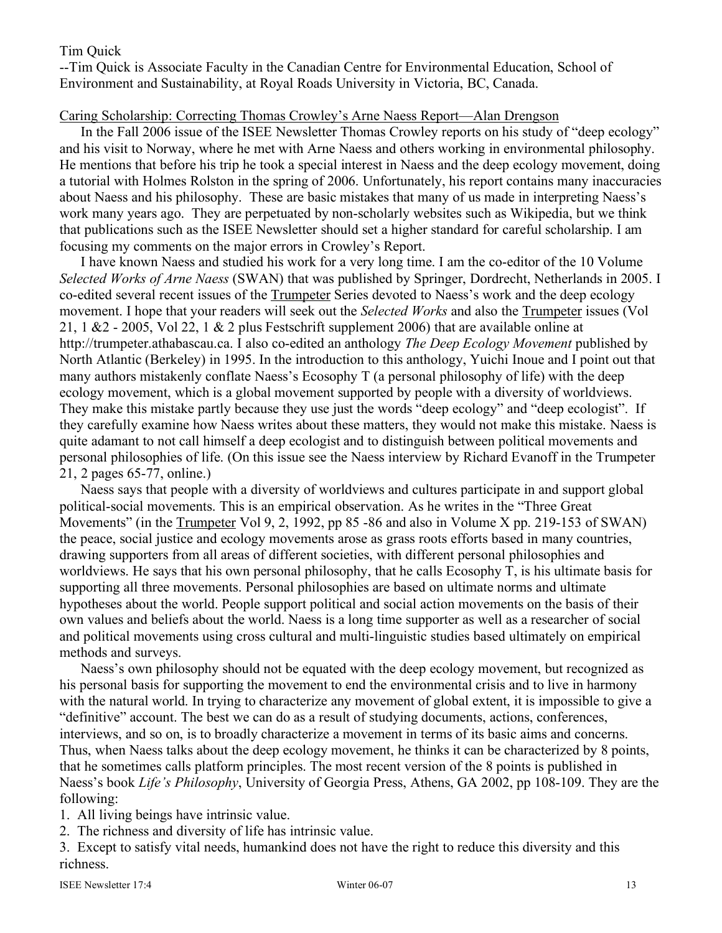### Tim Quick

--Tim Quick is Associate Faculty in the Canadian Centre for Environmental Education, School of Environment and Sustainability, at Royal Roads University in Victoria, BC, Canada.

### Caring Scholarship: Correcting Thomas Crowley's Arne Naess Report—Alan Drengson

In the Fall 2006 issue of the ISEE Newsletter Thomas Crowley reports on his study of "deep ecology" and his visit to Norway, where he met with Arne Naess and others working in environmental philosophy. He mentions that before his trip he took a special interest in Naess and the deep ecology movement, doing a tutorial with Holmes Rolston in the spring of 2006. Unfortunately, his report contains many inaccuracies about Naess and his philosophy. These are basic mistakes that many of us made in interpreting Naess's work many years ago. They are perpetuated by non-scholarly websites such as Wikipedia, but we think that publications such as the ISEE Newsletter should set a higher standard for careful scholarship. I am focusing my comments on the major errors in Crowley's Report.

I have known Naess and studied his work for a very long time. I am the co-editor of the 10 Volume *Selected Works of Arne Naess* (SWAN) that was published by Springer, Dordrecht, Netherlands in 2005. I co-edited several recent issues of the Trumpeter Series devoted to Naess's work and the deep ecology movement. I hope that your readers will seek out the *Selected Works* and also the Trumpeter issues (Vol 21, 1  $\&$  2 - 2005, Vol 22, 1  $\&$  2 plus Festschrift supplement 2006) that are available online at http://trumpeter.athabascau.ca. I also co-edited an anthology *The Deep Ecology Movement* published by North Atlantic (Berkeley) in 1995. In the introduction to this anthology, Yuichi Inoue and I point out that many authors mistakenly conflate Naess's Ecosophy T (a personal philosophy of life) with the deep ecology movement, which is a global movement supported by people with a diversity of worldviews. They make this mistake partly because they use just the words "deep ecology" and "deep ecologist". If they carefully examine how Naess writes about these matters, they would not make this mistake. Naess is quite adamant to not call himself a deep ecologist and to distinguish between political movements and personal philosophies of life. (On this issue see the Naess interview by Richard Evanoff in the Trumpeter 21, 2 pages 65-77, online.)

Naess says that people with a diversity of worldviews and cultures participate in and support global political-social movements. This is an empirical observation. As he writes in the "Three Great Movements" (in the Trumpeter Vol 9, 2, 1992, pp 85 -86 and also in Volume X pp. 219-153 of SWAN) the peace, social justice and ecology movements arose as grass roots efforts based in many countries, drawing supporters from all areas of different societies, with different personal philosophies and worldviews. He says that his own personal philosophy, that he calls Ecosophy T, is his ultimate basis for supporting all three movements. Personal philosophies are based on ultimate norms and ultimate hypotheses about the world. People support political and social action movements on the basis of their own values and beliefs about the world. Naess is a long time supporter as well as a researcher of social and political movements using cross cultural and multi-linguistic studies based ultimately on empirical methods and surveys.

Naess's own philosophy should not be equated with the deep ecology movement, but recognized as his personal basis for supporting the movement to end the environmental crisis and to live in harmony with the natural world. In trying to characterize any movement of global extent, it is impossible to give a "definitive" account. The best we can do as a result of studying documents, actions, conferences, interviews, and so on, is to broadly characterize a movement in terms of its basic aims and concerns. Thus, when Naess talks about the deep ecology movement, he thinks it can be characterized by 8 points, that he sometimes calls platform principles. The most recent version of the 8 points is published in Naess's book *Life's Philosophy*, University of Georgia Press, Athens, GA 2002, pp 108-109. They are the following:

1. All living beings have intrinsic value.

2. The richness and diversity of life has intrinsic value.

3. Except to satisfy vital needs, humankind does not have the right to reduce this diversity and this richness.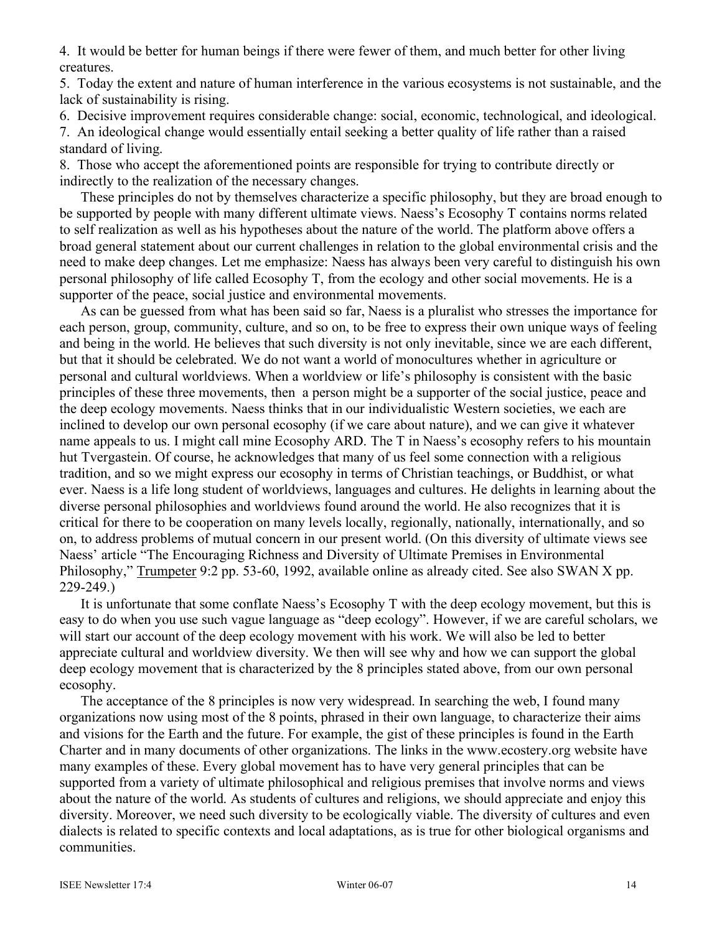4. It would be better for human beings if there were fewer of them, and much better for other living creatures.

5. Today the extent and nature of human interference in the various ecosystems is not sustainable, and the lack of sustainability is rising.

6. Decisive improvement requires considerable change: social, economic, technological, and ideological. 7. An ideological change would essentially entail seeking a better quality of life rather than a raised standard of living.

8. Those who accept the aforementioned points are responsible for trying to contribute directly or indirectly to the realization of the necessary changes.

These principles do not by themselves characterize a specific philosophy, but they are broad enough to be supported by people with many different ultimate views. Naess's Ecosophy T contains norms related to self realization as well as his hypotheses about the nature of the world. The platform above offers a broad general statement about our current challenges in relation to the global environmental crisis and the need to make deep changes. Let me emphasize: Naess has always been very careful to distinguish his own personal philosophy of life called Ecosophy T, from the ecology and other social movements. He is a supporter of the peace, social justice and environmental movements.

As can be guessed from what has been said so far, Naess is a pluralist who stresses the importance for each person, group, community, culture, and so on, to be free to express their own unique ways of feeling and being in the world. He believes that such diversity is not only inevitable, since we are each different, but that it should be celebrated. We do not want a world of monocultures whether in agriculture or personal and cultural worldviews. When a worldview or life's philosophy is consistent with the basic principles of these three movements, then a person might be a supporter of the social justice, peace and the deep ecology movements. Naess thinks that in our individualistic Western societies, we each are inclined to develop our own personal ecosophy (if we care about nature), and we can give it whatever name appeals to us. I might call mine Ecosophy ARD. The T in Naess's ecosophy refers to his mountain hut Tvergastein. Of course, he acknowledges that many of us feel some connection with a religious tradition, and so we might express our ecosophy in terms of Christian teachings, or Buddhist, or what ever. Naess is a life long student of worldviews, languages and cultures. He delights in learning about the diverse personal philosophies and worldviews found around the world. He also recognizes that it is critical for there to be cooperation on many levels locally, regionally, nationally, internationally, and so on, to address problems of mutual concern in our present world. (On this diversity of ultimate views see Naess' article "The Encouraging Richness and Diversity of Ultimate Premises in Environmental Philosophy," Trumpeter 9:2 pp. 53-60, 1992, available online as already cited. See also SWAN X pp. 229-249.)

It is unfortunate that some conflate Naess's Ecosophy T with the deep ecology movement, but this is easy to do when you use such vague language as "deep ecology". However, if we are careful scholars, we will start our account of the deep ecology movement with his work. We will also be led to better appreciate cultural and worldview diversity. We then will see why and how we can support the global deep ecology movement that is characterized by the 8 principles stated above, from our own personal ecosophy.

The acceptance of the 8 principles is now very widespread. In searching the web, I found many organizations now using most of the 8 points, phrased in their own language, to characterize their aims and visions for the Earth and the future. For example, the gist of these principles is found in the Earth Charter and in many documents of other organizations. The links in the www.ecostery.org website have many examples of these. Every global movement has to have very general principles that can be supported from a variety of ultimate philosophical and religious premises that involve norms and views about the nature of the world. As students of cultures and religions, we should appreciate and enjoy this diversity. Moreover, we need such diversity to be ecologically viable. The diversity of cultures and even dialects is related to specific contexts and local adaptations, as is true for other biological organisms and communities.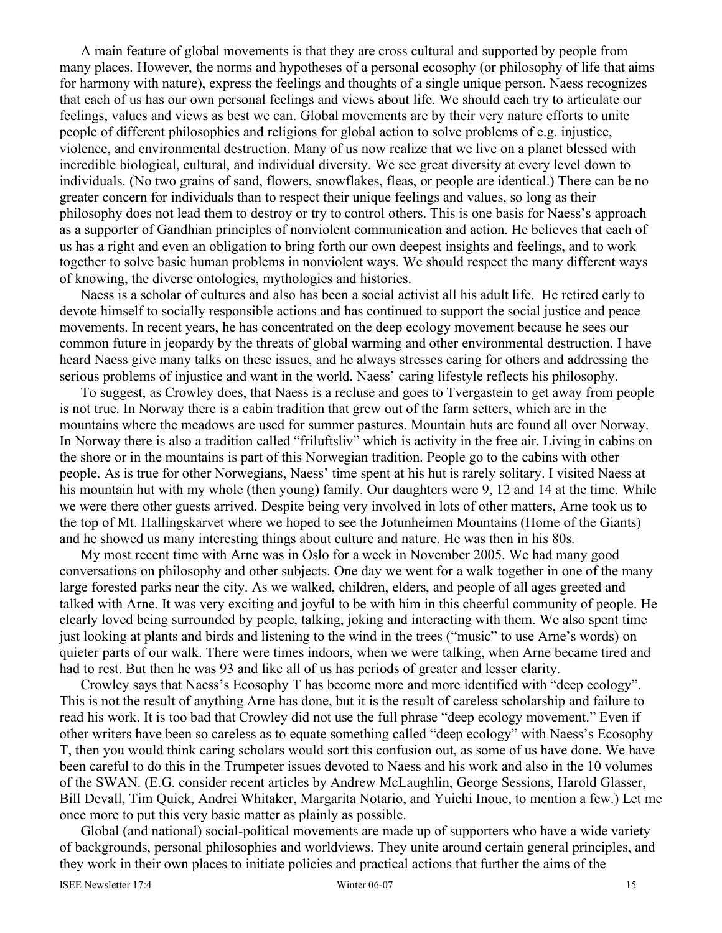A main feature of global movements is that they are cross cultural and supported by people from many places. However, the norms and hypotheses of a personal ecosophy (or philosophy of life that aims for harmony with nature), express the feelings and thoughts of a single unique person. Naess recognizes that each of us has our own personal feelings and views about life. We should each try to articulate our feelings, values and views as best we can. Global movements are by their very nature efforts to unite people of different philosophies and religions for global action to solve problems of e.g. injustice, violence, and environmental destruction. Many of us now realize that we live on a planet blessed with incredible biological, cultural, and individual diversity. We see great diversity at every level down to individuals. (No two grains of sand, flowers, snowflakes, fleas, or people are identical.) There can be no greater concern for individuals than to respect their unique feelings and values, so long as their philosophy does not lead them to destroy or try to control others. This is one basis for Naess's approach as a supporter of Gandhian principles of nonviolent communication and action. He believes that each of us has a right and even an obligation to bring forth our own deepest insights and feelings, and to work together to solve basic human problems in nonviolent ways. We should respect the many different ways of knowing, the diverse ontologies, mythologies and histories.

Naess is a scholar of cultures and also has been a social activist all his adult life. He retired early to devote himself to socially responsible actions and has continued to support the social justice and peace movements. In recent years, he has concentrated on the deep ecology movement because he sees our common future in jeopardy by the threats of global warming and other environmental destruction. I have heard Naess give many talks on these issues, and he always stresses caring for others and addressing the serious problems of injustice and want in the world. Naess' caring lifestyle reflects his philosophy.

To suggest, as Crowley does, that Naess is a recluse and goes to Tvergastein to get away from people is not true. In Norway there is a cabin tradition that grew out of the farm setters, which are in the mountains where the meadows are used for summer pastures. Mountain huts are found all over Norway. In Norway there is also a tradition called "friluftsliv" which is activity in the free air. Living in cabins on the shore or in the mountains is part of this Norwegian tradition. People go to the cabins with other people. As is true for other Norwegians, Naess' time spent at his hut is rarely solitary. I visited Naess at his mountain hut with my whole (then young) family. Our daughters were 9, 12 and 14 at the time. While we were there other guests arrived. Despite being very involved in lots of other matters, Arne took us to the top of Mt. Hallingskarvet where we hoped to see the Jotunheimen Mountains (Home of the Giants) and he showed us many interesting things about culture and nature. He was then in his 80s.

My most recent time with Arne was in Oslo for a week in November 2005. We had many good conversations on philosophy and other subjects. One day we went for a walk together in one of the many large forested parks near the city. As we walked, children, elders, and people of all ages greeted and talked with Arne. It was very exciting and joyful to be with him in this cheerful community of people. He clearly loved being surrounded by people, talking, joking and interacting with them. We also spent time just looking at plants and birds and listening to the wind in the trees ("music" to use Arne's words) on quieter parts of our walk. There were times indoors, when we were talking, when Arne became tired and had to rest. But then he was 93 and like all of us has periods of greater and lesser clarity.

Crowley says that Naess's Ecosophy T has become more and more identified with "deep ecology". This is not the result of anything Arne has done, but it is the result of careless scholarship and failure to read his work. It is too bad that Crowley did not use the full phrase "deep ecology movement." Even if other writers have been so careless as to equate something called "deep ecology" with Naess's Ecosophy T, then you would think caring scholars would sort this confusion out, as some of us have done. We have been careful to do this in the Trumpeter issues devoted to Naess and his work and also in the 10 volumes of the SWAN. (E.G. consider recent articles by Andrew McLaughlin, George Sessions, Harold Glasser, Bill Devall, Tim Quick, Andrei Whitaker, Margarita Notario, and Yuichi Inoue, to mention a few.) Let me once more to put this very basic matter as plainly as possible.

Global (and national) social-political movements are made up of supporters who have a wide variety of backgrounds, personal philosophies and worldviews. They unite around certain general principles, and they work in their own places to initiate policies and practical actions that further the aims of the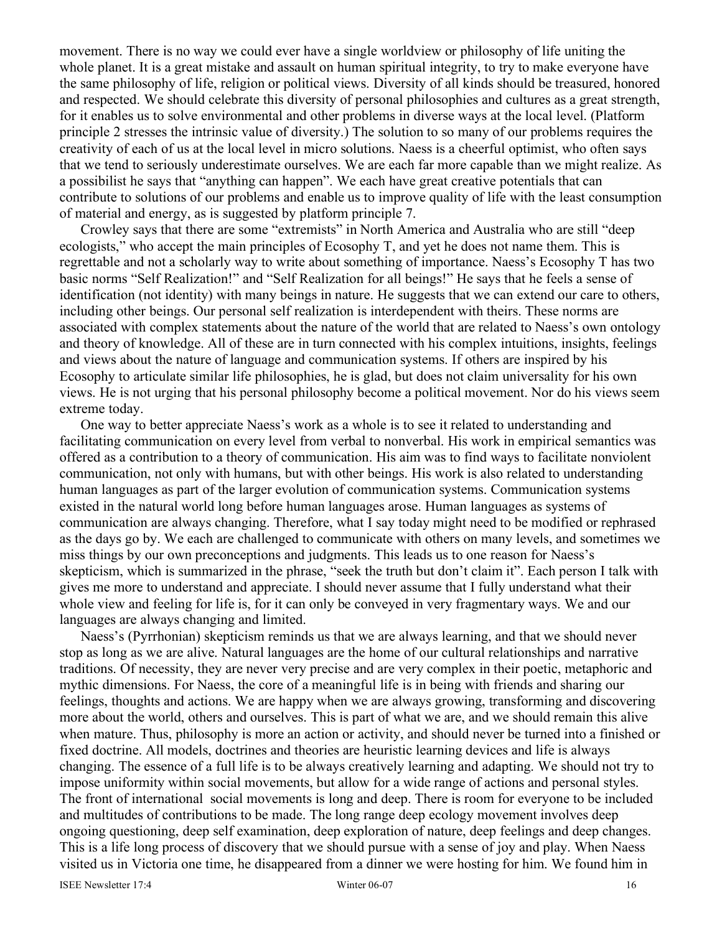movement. There is no way we could ever have a single worldview or philosophy of life uniting the whole planet. It is a great mistake and assault on human spiritual integrity, to try to make everyone have the same philosophy of life, religion or political views. Diversity of all kinds should be treasured, honored and respected. We should celebrate this diversity of personal philosophies and cultures as a great strength, for it enables us to solve environmental and other problems in diverse ways at the local level. (Platform principle 2 stresses the intrinsic value of diversity.) The solution to so many of our problems requires the creativity of each of us at the local level in micro solutions. Naess is a cheerful optimist, who often says that we tend to seriously underestimate ourselves. We are each far more capable than we might realize. As a possibilist he says that "anything can happen". We each have great creative potentials that can contribute to solutions of our problems and enable us to improve quality of life with the least consumption of material and energy, as is suggested by platform principle 7.

Crowley says that there are some "extremists" in North America and Australia who are still "deep ecologists," who accept the main principles of Ecosophy T, and yet he does not name them. This is regrettable and not a scholarly way to write about something of importance. Naess's Ecosophy T has two basic norms "Self Realization!" and "Self Realization for all beings!" He says that he feels a sense of identification (not identity) with many beings in nature. He suggests that we can extend our care to others, including other beings. Our personal self realization is interdependent with theirs. These norms are associated with complex statements about the nature of the world that are related to Naess's own ontology and theory of knowledge. All of these are in turn connected with his complex intuitions, insights, feelings and views about the nature of language and communication systems. If others are inspired by his Ecosophy to articulate similar life philosophies, he is glad, but does not claim universality for his own views. He is not urging that his personal philosophy become a political movement. Nor do his views seem extreme today.

One way to better appreciate Naess's work as a whole is to see it related to understanding and facilitating communication on every level from verbal to nonverbal. His work in empirical semantics was offered as a contribution to a theory of communication. His aim was to find ways to facilitate nonviolent communication, not only with humans, but with other beings. His work is also related to understanding human languages as part of the larger evolution of communication systems. Communication systems existed in the natural world long before human languages arose. Human languages as systems of communication are always changing. Therefore, what I say today might need to be modified or rephrased as the days go by. We each are challenged to communicate with others on many levels, and sometimes we miss things by our own preconceptions and judgments. This leads us to one reason for Naess's skepticism, which is summarized in the phrase, "seek the truth but don't claim it". Each person I talk with gives me more to understand and appreciate. I should never assume that I fully understand what their whole view and feeling for life is, for it can only be conveyed in very fragmentary ways. We and our languages are always changing and limited.

Naess's (Pyrrhonian) skepticism reminds us that we are always learning, and that we should never stop as long as we are alive. Natural languages are the home of our cultural relationships and narrative traditions. Of necessity, they are never very precise and are very complex in their poetic, metaphoric and mythic dimensions. For Naess, the core of a meaningful life is in being with friends and sharing our feelings, thoughts and actions. We are happy when we are always growing, transforming and discovering more about the world, others and ourselves. This is part of what we are, and we should remain this alive when mature. Thus, philosophy is more an action or activity, and should never be turned into a finished or fixed doctrine. All models, doctrines and theories are heuristic learning devices and life is always changing. The essence of a full life is to be always creatively learning and adapting. We should not try to impose uniformity within social movements, but allow for a wide range of actions and personal styles. The front of international social movements is long and deep. There is room for everyone to be included and multitudes of contributions to be made. The long range deep ecology movement involves deep ongoing questioning, deep self examination, deep exploration of nature, deep feelings and deep changes. This is a life long process of discovery that we should pursue with a sense of joy and play. When Naess visited us in Victoria one time, he disappeared from a dinner we were hosting for him. We found him in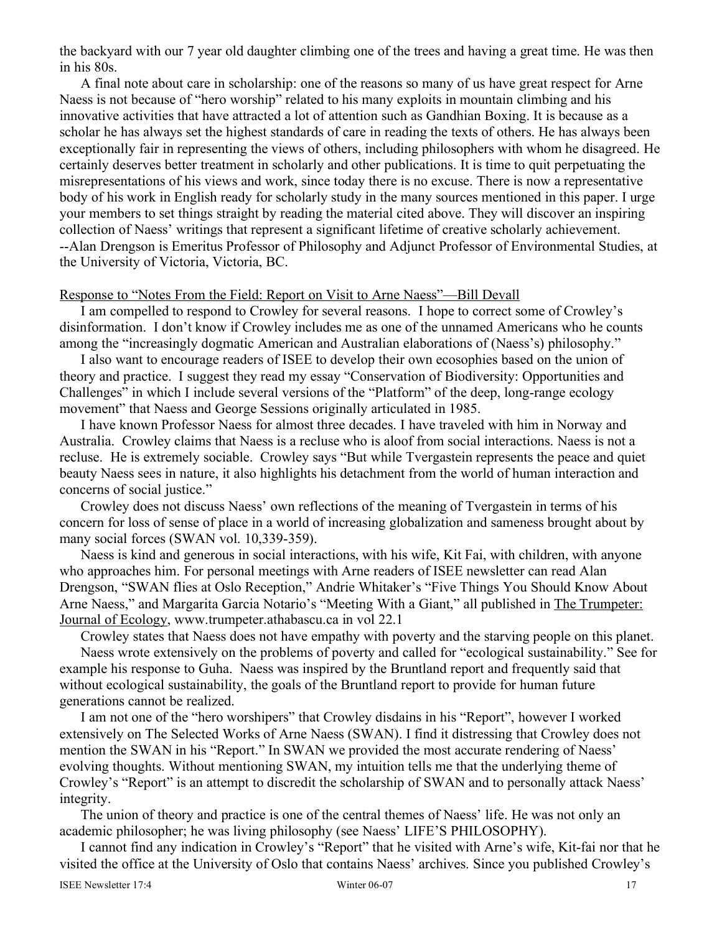the backyard with our 7 year old daughter climbing one of the trees and having a great time. He was then in his 80s.

A final note about care in scholarship: one of the reasons so many of us have great respect for Arne Naess is not because of "hero worship" related to his many exploits in mountain climbing and his innovative activities that have attracted a lot of attention such as Gandhian Boxing. It is because as a scholar he has always set the highest standards of care in reading the texts of others. He has always been exceptionally fair in representing the views of others, including philosophers with whom he disagreed. He certainly deserves better treatment in scholarly and other publications. It is time to quit perpetuating the misrepresentations of his views and work, since today there is no excuse. There is now a representative body of his work in English ready for scholarly study in the many sources mentioned in this paper. I urge your members to set things straight by reading the material cited above. They will discover an inspiring collection of Naess' writings that represent a significant lifetime of creative scholarly achievement. --Alan Drengson is Emeritus Professor of Philosophy and Adjunct Professor of Environmental Studies, at the University of Victoria, Victoria, BC.

#### Response to "Notes From the Field: Report on Visit to Arne Naess"—Bill Devall

I am compelled to respond to Crowley for several reasons. I hope to correct some of Crowley's disinformation. I don't know if Crowley includes me as one of the unnamed Americans who he counts among the "increasingly dogmatic American and Australian elaborations of (Naess's) philosophy."

I also want to encourage readers of ISEE to develop their own ecosophies based on the union of theory and practice. I suggest they read my essay "Conservation of Biodiversity: Opportunities and Challenges" in which I include several versions of the "Platform" of the deep, long-range ecology movement" that Naess and George Sessions originally articulated in 1985.

I have known Professor Naess for almost three decades. I have traveled with him in Norway and Australia. Crowley claims that Naess is a recluse who is aloof from social interactions. Naess is not a recluse. He is extremely sociable. Crowley says "But while Tvergastein represents the peace and quiet beauty Naess sees in nature, it also highlights his detachment from the world of human interaction and concerns of social justice."

Crowley does not discuss Naess' own reflections of the meaning of Tvergastein in terms of his concern for loss of sense of place in a world of increasing globalization and sameness brought about by many social forces (SWAN vol. 10,339-359).

Naess is kind and generous in social interactions, with his wife, Kit Fai, with children, with anyone who approaches him. For personal meetings with Arne readers of ISEE newsletter can read Alan Drengson, "SWAN flies at Oslo Reception," Andrie Whitaker's "Five Things You Should Know About Arne Naess," and Margarita Garcia Notario's "Meeting With a Giant," all published in The Trumpeter: Journal of Ecology, www.trumpeter.athabascu.ca in vol 22.1

Crowley states that Naess does not have empathy with poverty and the starving people on this planet. Naess wrote extensively on the problems of poverty and called for "ecological sustainability." See for example his response to Guha. Naess was inspired by the Bruntland report and frequently said that without ecological sustainability, the goals of the Bruntland report to provide for human future generations cannot be realized.

I am not one of the "hero worshipers" that Crowley disdains in his "Report", however I worked extensively on The Selected Works of Arne Naess (SWAN). I find it distressing that Crowley does not mention the SWAN in his "Report." In SWAN we provided the most accurate rendering of Naess' evolving thoughts. Without mentioning SWAN, my intuition tells me that the underlying theme of Crowley's "Report" is an attempt to discredit the scholarship of SWAN and to personally attack Naess' integrity.

The union of theory and practice is one of the central themes of Naess' life. He was not only an academic philosopher; he was living philosophy (see Naess' LIFE'S PHILOSOPHY).

I cannot find any indication in Crowley's "Report" that he visited with Arne's wife, Kit-fai nor that he visited the office at the University of Oslo that contains Naess' archives. Since you published Crowley's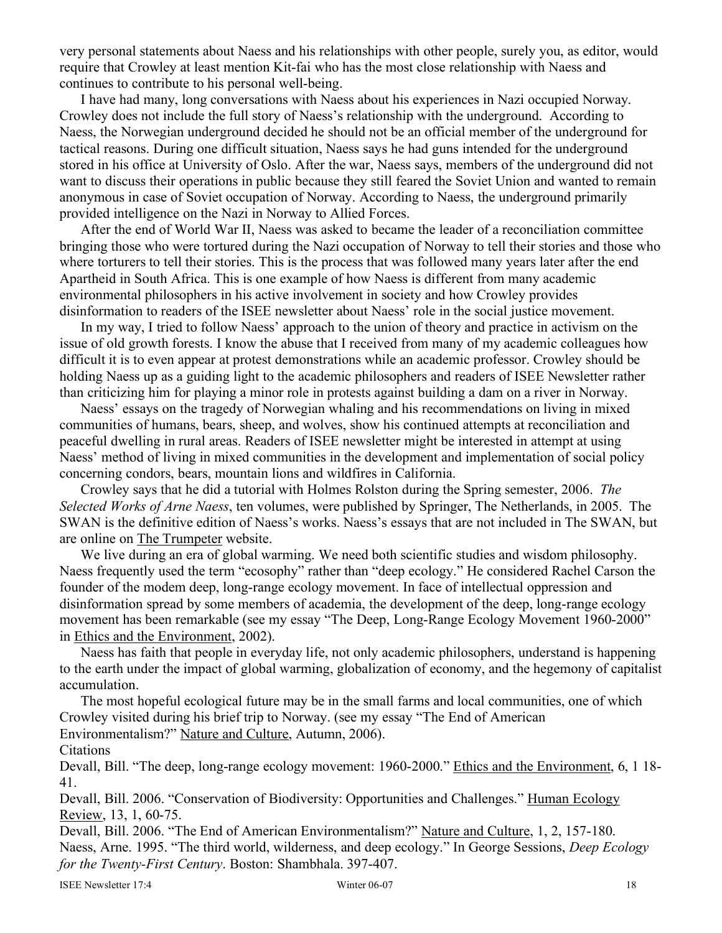very personal statements about Naess and his relationships with other people, surely you, as editor, would require that Crowley at least mention Kit-fai who has the most close relationship with Naess and continues to contribute to his personal well-being.

I have had many, long conversations with Naess about his experiences in Nazi occupied Norway. Crowley does not include the full story of Naess's relationship with the underground. According to Naess, the Norwegian underground decided he should not be an official member of the underground for tactical reasons. During one difficult situation, Naess says he had guns intended for the underground stored in his office at University of Oslo. After the war, Naess says, members of the underground did not want to discuss their operations in public because they still feared the Soviet Union and wanted to remain anonymous in case of Soviet occupation of Norway. According to Naess, the underground primarily provided intelligence on the Nazi in Norway to Allied Forces.

After the end of World War II, Naess was asked to became the leader of a reconciliation committee bringing those who were tortured during the Nazi occupation of Norway to tell their stories and those who where torturers to tell their stories. This is the process that was followed many years later after the end Apartheid in South Africa. This is one example of how Naess is different from many academic environmental philosophers in his active involvement in society and how Crowley provides disinformation to readers of the ISEE newsletter about Naess' role in the social justice movement.

In my way, I tried to follow Naess' approach to the union of theory and practice in activism on the issue of old growth forests. I know the abuse that I received from many of my academic colleagues how difficult it is to even appear at protest demonstrations while an academic professor. Crowley should be holding Naess up as a guiding light to the academic philosophers and readers of ISEE Newsletter rather than criticizing him for playing a minor role in protests against building a dam on a river in Norway.

Naess' essays on the tragedy of Norwegian whaling and his recommendations on living in mixed communities of humans, bears, sheep, and wolves, show his continued attempts at reconciliation and peaceful dwelling in rural areas. Readers of ISEE newsletter might be interested in attempt at using Naess' method of living in mixed communities in the development and implementation of social policy concerning condors, bears, mountain lions and wildfires in California.

Crowley says that he did a tutorial with Holmes Rolston during the Spring semester, 2006. *The Selected Works of Arne Naess*, ten volumes, were published by Springer, The Netherlands, in 2005. The SWAN is the definitive edition of Naess's works. Naess's essays that are not included in The SWAN, but are online on The Trumpeter website.

We live during an era of global warming. We need both scientific studies and wisdom philosophy. Naess frequently used the term "ecosophy" rather than "deep ecology." He considered Rachel Carson the founder of the modem deep, long-range ecology movement. In face of intellectual oppression and disinformation spread by some members of academia, the development of the deep, long-range ecology movement has been remarkable (see my essay "The Deep, Long-Range Ecology Movement 1960-2000" in Ethics and the Environment, 2002).

Naess has faith that people in everyday life, not only academic philosophers, understand is happening to the earth under the impact of global warming, globalization of economy, and the hegemony of capitalist accumulation.

The most hopeful ecological future may be in the small farms and local communities, one of which Crowley visited during his brief trip to Norway. (see my essay "The End of American Environmentalism?" Nature and Culture, Autumn, 2006).

**Citations** 

Devall, Bill. "The deep, long-range ecology movement: 1960-2000." Ethics and the Environment, 6, 1 18- 41.

Devall, Bill. 2006. "Conservation of Biodiversity: Opportunities and Challenges." Human Ecology Review, 13, 1, 60-75.

Devall, Bill. 2006. "The End of American Environmentalism?" Nature and Culture, 1, 2, 157-180. Naess, Arne. 1995. "The third world, wilderness, and deep ecology." In George Sessions, *Deep Ecology for the Twenty-First Century*. Boston: Shambhala. 397-407.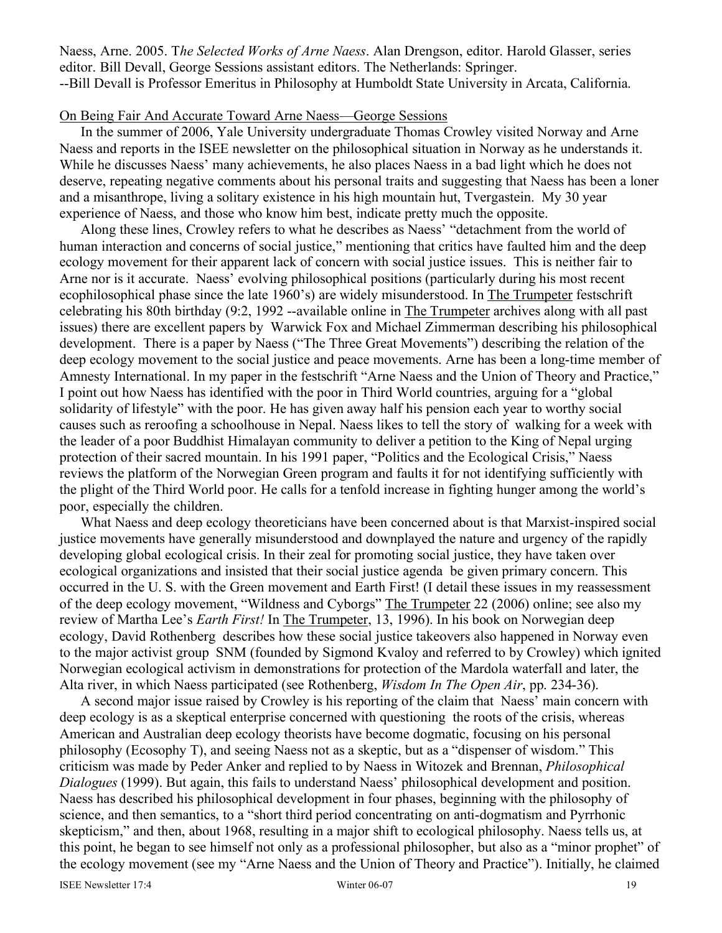Naess, Arne. 2005. T*he Selected Works of Arne Naess*. Alan Drengson, editor. Harold Glasser, series editor. Bill Devall, George Sessions assistant editors. The Netherlands: Springer. --Bill Devall is Professor Emeritus in Philosophy at Humboldt State University in Arcata, California.

#### On Being Fair And Accurate Toward Arne Naess—George Sessions

In the summer of 2006, Yale University undergraduate Thomas Crowley visited Norway and Arne Naess and reports in the ISEE newsletter on the philosophical situation in Norway as he understands it. While he discusses Naess' many achievements, he also places Naess in a bad light which he does not deserve, repeating negative comments about his personal traits and suggesting that Naess has been a loner and a misanthrope, living a solitary existence in his high mountain hut, Tvergastein. My 30 year experience of Naess, and those who know him best, indicate pretty much the opposite.

Along these lines, Crowley refers to what he describes as Naess' "detachment from the world of human interaction and concerns of social justice," mentioning that critics have faulted him and the deep ecology movement for their apparent lack of concern with social justice issues. This is neither fair to Arne nor is it accurate. Naess' evolving philosophical positions (particularly during his most recent ecophilosophical phase since the late 1960's) are widely misunderstood. In The Trumpeter festschrift celebrating his 80th birthday (9:2, 1992 --available online in The Trumpeter archives along with all past issues) there are excellent papers by Warwick Fox and Michael Zimmerman describing his philosophical development. There is a paper by Naess ("The Three Great Movements") describing the relation of the deep ecology movement to the social justice and peace movements. Arne has been a long-time member of Amnesty International. In my paper in the festschrift "Arne Naess and the Union of Theory and Practice," I point out how Naess has identified with the poor in Third World countries, arguing for a "global solidarity of lifestyle" with the poor. He has given away half his pension each year to worthy social causes such as reroofing a schoolhouse in Nepal. Naess likes to tell the story of walking for a week with the leader of a poor Buddhist Himalayan community to deliver a petition to the King of Nepal urging protection of their sacred mountain. In his 1991 paper, "Politics and the Ecological Crisis," Naess reviews the platform of the Norwegian Green program and faults it for not identifying sufficiently with the plight of the Third World poor. He calls for a tenfold increase in fighting hunger among the world's poor, especially the children.

What Naess and deep ecology theoreticians have been concerned about is that Marxist-inspired social justice movements have generally misunderstood and downplayed the nature and urgency of the rapidly developing global ecological crisis. In their zeal for promoting social justice, they have taken over ecological organizations and insisted that their social justice agenda be given primary concern. This occurred in the U. S. with the Green movement and Earth First! (I detail these issues in my reassessment of the deep ecology movement, "Wildness and Cyborgs" The Trumpeter 22 (2006) online; see also my review of Martha Lee's *Earth First!* In The Trumpeter, 13, 1996). In his book on Norwegian deep ecology, David Rothenberg describes how these social justice takeovers also happened in Norway even to the major activist group SNM (founded by Sigmond Kvaloy and referred to by Crowley) which ignited Norwegian ecological activism in demonstrations for protection of the Mardola waterfall and later, the Alta river, in which Naess participated (see Rothenberg, *Wisdom In The Open Air*, pp. 234-36).

A second major issue raised by Crowley is his reporting of the claim that Naess' main concern with deep ecology is as a skeptical enterprise concerned with questioning the roots of the crisis, whereas American and Australian deep ecology theorists have become dogmatic, focusing on his personal philosophy (Ecosophy T), and seeing Naess not as a skeptic, but as a "dispenser of wisdom." This criticism was made by Peder Anker and replied to by Naess in Witozek and Brennan, *Philosophical Dialogues* (1999). But again, this fails to understand Naess' philosophical development and position. Naess has described his philosophical development in four phases, beginning with the philosophy of science, and then semantics, to a "short third period concentrating on anti-dogmatism and Pyrrhonic skepticism," and then, about 1968, resulting in a major shift to ecological philosophy. Naess tells us, at this point, he began to see himself not only as a professional philosopher, but also as a "minor prophet" of the ecology movement (see my "Arne Naess and the Union of Theory and Practice"). Initially, he claimed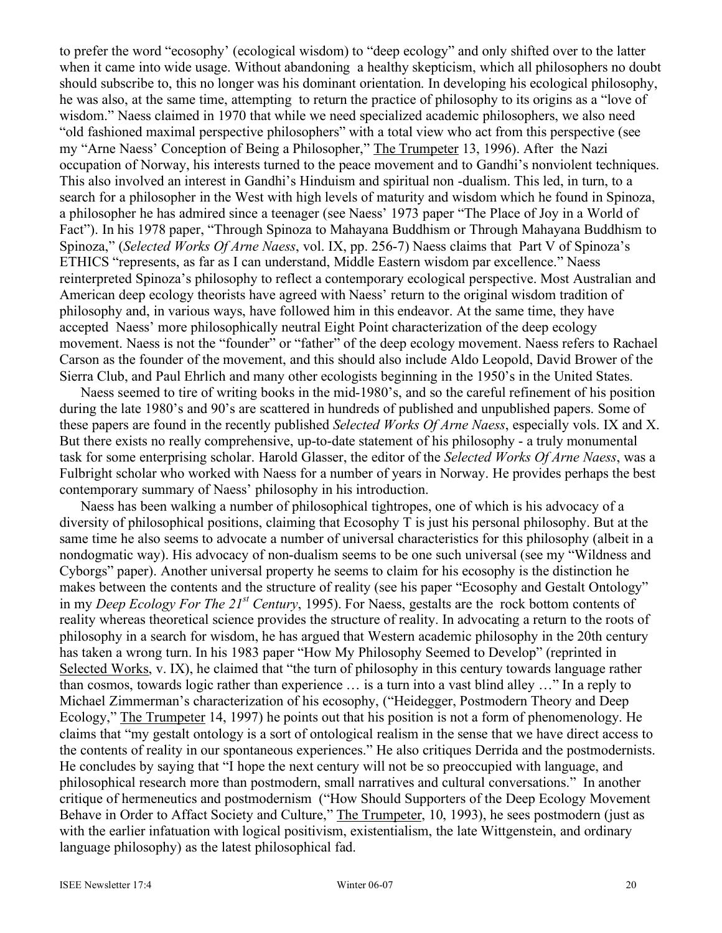to prefer the word "ecosophy' (ecological wisdom) to "deep ecology" and only shifted over to the latter when it came into wide usage. Without abandoning a healthy skepticism, which all philosophers no doubt should subscribe to, this no longer was his dominant orientation. In developing his ecological philosophy, he was also, at the same time, attempting to return the practice of philosophy to its origins as a "love of wisdom." Naess claimed in 1970 that while we need specialized academic philosophers, we also need "old fashioned maximal perspective philosophers" with a total view who act from this perspective (see my "Arne Naess' Conception of Being a Philosopher," The Trumpeter 13, 1996). After the Nazi occupation of Norway, his interests turned to the peace movement and to Gandhi's nonviolent techniques. This also involved an interest in Gandhi's Hinduism and spiritual non -dualism. This led, in turn, to a search for a philosopher in the West with high levels of maturity and wisdom which he found in Spinoza, a philosopher he has admired since a teenager (see Naess' 1973 paper "The Place of Joy in a World of Fact"). In his 1978 paper, "Through Spinoza to Mahayana Buddhism or Through Mahayana Buddhism to Spinoza," (*Selected Works Of Arne Naess*, vol. IX, pp. 256-7) Naess claims that Part V of Spinoza's ETHICS "represents, as far as I can understand, Middle Eastern wisdom par excellence." Naess reinterpreted Spinoza's philosophy to reflect a contemporary ecological perspective. Most Australian and American deep ecology theorists have agreed with Naess' return to the original wisdom tradition of philosophy and, in various ways, have followed him in this endeavor. At the same time, they have accepted Naess' more philosophically neutral Eight Point characterization of the deep ecology movement. Naess is not the "founder" or "father" of the deep ecology movement. Naess refers to Rachael Carson as the founder of the movement, and this should also include Aldo Leopold, David Brower of the Sierra Club, and Paul Ehrlich and many other ecologists beginning in the 1950's in the United States.

Naess seemed to tire of writing books in the mid-1980's, and so the careful refinement of his position during the late 1980's and 90's are scattered in hundreds of published and unpublished papers. Some of these papers are found in the recently published *Selected Works Of Arne Naess*, especially vols. IX and X. But there exists no really comprehensive, up-to-date statement of his philosophy - a truly monumental task for some enterprising scholar. Harold Glasser, the editor of the *Selected Works Of Arne Naess*, was a Fulbright scholar who worked with Naess for a number of years in Norway. He provides perhaps the best contemporary summary of Naess' philosophy in his introduction.

Naess has been walking a number of philosophical tightropes, one of which is his advocacy of a diversity of philosophical positions, claiming that Ecosophy T is just his personal philosophy. But at the same time he also seems to advocate a number of universal characteristics for this philosophy (albeit in a nondogmatic way). His advocacy of non-dualism seems to be one such universal (see my "Wildness and Cyborgs" paper). Another universal property he seems to claim for his ecosophy is the distinction he makes between the contents and the structure of reality (see his paper "Ecosophy and Gestalt Ontology" in my *Deep Ecology For The 21st Century*, 1995). For Naess, gestalts are the rock bottom contents of reality whereas theoretical science provides the structure of reality. In advocating a return to the roots of philosophy in a search for wisdom, he has argued that Western academic philosophy in the 20th century has taken a wrong turn. In his 1983 paper "How My Philosophy Seemed to Develop" (reprinted in Selected Works, v. IX), he claimed that "the turn of philosophy in this century towards language rather than cosmos, towards logic rather than experience … is a turn into a vast blind alley …" In a reply to Michael Zimmerman's characterization of his ecosophy, ("Heidegger, Postmodern Theory and Deep Ecology," The Trumpeter 14, 1997) he points out that his position is not a form of phenomenology. He claims that "my gestalt ontology is a sort of ontological realism in the sense that we have direct access to the contents of reality in our spontaneous experiences." He also critiques Derrida and the postmodernists. He concludes by saying that "I hope the next century will not be so preoccupied with language, and philosophical research more than postmodern, small narratives and cultural conversations." In another critique of hermeneutics and postmodernism ("How Should Supporters of the Deep Ecology Movement Behave in Order to Affact Society and Culture," The Trumpeter, 10, 1993), he sees postmodern (just as with the earlier infatuation with logical positivism, existentialism, the late Wittgenstein, and ordinary language philosophy) as the latest philosophical fad.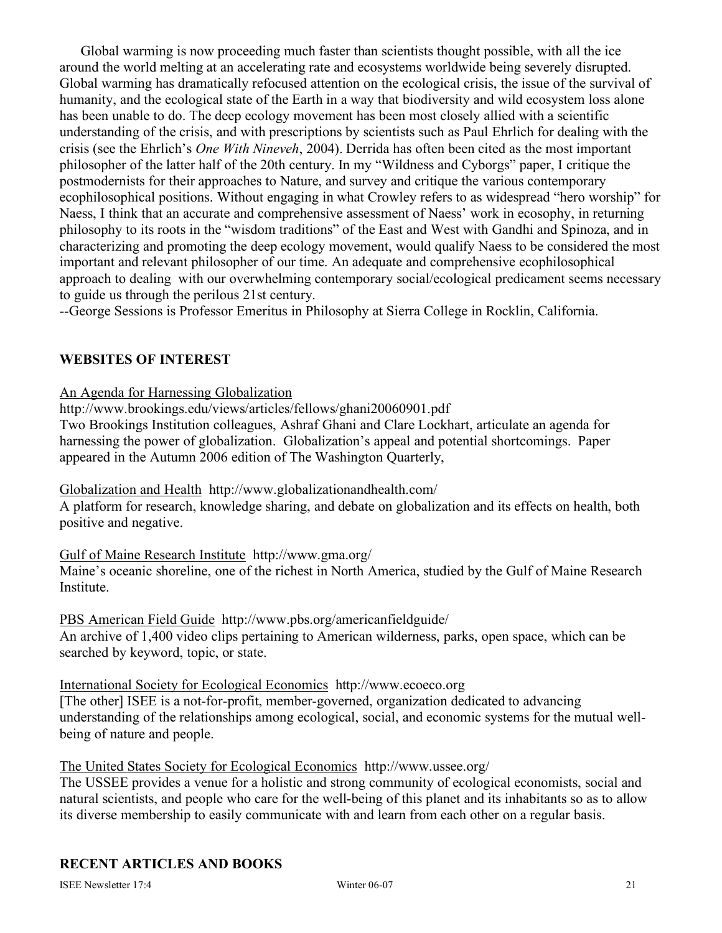Global warming is now proceeding much faster than scientists thought possible, with all the ice around the world melting at an accelerating rate and ecosystems worldwide being severely disrupted. Global warming has dramatically refocused attention on the ecological crisis, the issue of the survival of humanity, and the ecological state of the Earth in a way that biodiversity and wild ecosystem loss alone has been unable to do. The deep ecology movement has been most closely allied with a scientific understanding of the crisis, and with prescriptions by scientists such as Paul Ehrlich for dealing with the crisis (see the Ehrlich's *One With Nineveh*, 2004). Derrida has often been cited as the most important philosopher of the latter half of the 20th century. In my "Wildness and Cyborgs" paper, I critique the postmodernists for their approaches to Nature, and survey and critique the various contemporary ecophilosophical positions. Without engaging in what Crowley refers to as widespread "hero worship" for Naess, I think that an accurate and comprehensive assessment of Naess' work in ecosophy, in returning philosophy to its roots in the "wisdom traditions" of the East and West with Gandhi and Spinoza, and in characterizing and promoting the deep ecology movement, would qualify Naess to be considered the most important and relevant philosopher of our time. An adequate and comprehensive ecophilosophical approach to dealing with our overwhelming contemporary social/ecological predicament seems necessary to guide us through the perilous 21st century.

--George Sessions is Professor Emeritus in Philosophy at Sierra College in Rocklin, California.

# **WEBSITES OF INTEREST**

An Agenda for Harnessing Globalization

http://www.brookings.edu/views/articles/fellows/ghani20060901.pdf

Two Brookings Institution colleagues, Ashraf Ghani and Clare Lockhart, articulate an agenda for harnessing the power of globalization. Globalization's appeal and potential shortcomings. Paper appeared in the Autumn 2006 edition of The Washington Quarterly,

Globalization and Health http://www.globalizationandhealth.com/

A platform for research, knowledge sharing, and debate on globalization and its effects on health, both positive and negative.

### Gulf of Maine Research Institute http://www.gma.org/

Maine's oceanic shoreline, one of the richest in North America, studied by the Gulf of Maine Research Institute.

PBS American Field Guide http://www.pbs.org/americanfieldguide/ An archive of 1,400 video clips pertaining to American wilderness, parks, open space, which can be searched by keyword, topic, or state.

International Society for Ecological Economics http://www.ecoeco.org

[The other] ISEE is a not-for-profit, member-governed, organization dedicated to advancing understanding of the relationships among ecological, social, and economic systems for the mutual wellbeing of nature and people.

The United States Society for Ecological Economics http://www.ussee.org/

The USSEE provides a venue for a holistic and strong community of ecological economists, social and natural scientists, and people who care for the well-being of this planet and its inhabitants so as to allow its diverse membership to easily communicate with and learn from each other on a regular basis.

# **RECENT ARTICLES AND BOOKS**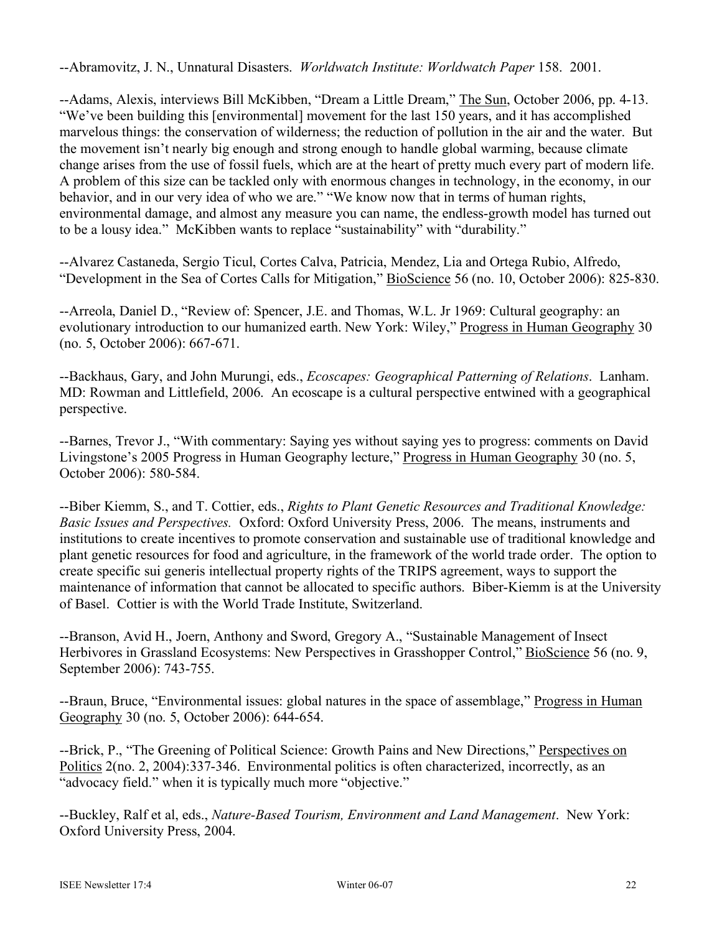--Abramovitz, J. N., Unnatural Disasters. *Worldwatch Institute: Worldwatch Paper* 158. 2001.

--Adams, Alexis, interviews Bill McKibben, "Dream a Little Dream," The Sun, October 2006, pp. 4-13. "We've been building this [environmental] movement for the last 150 years, and it has accomplished marvelous things: the conservation of wilderness; the reduction of pollution in the air and the water. But the movement isn't nearly big enough and strong enough to handle global warming, because climate change arises from the use of fossil fuels, which are at the heart of pretty much every part of modern life. A problem of this size can be tackled only with enormous changes in technology, in the economy, in our behavior, and in our very idea of who we are." "We know now that in terms of human rights, environmental damage, and almost any measure you can name, the endless-growth model has turned out to be a lousy idea." McKibben wants to replace "sustainability" with "durability."

--Alvarez Castaneda, Sergio Ticul, Cortes Calva, Patricia, Mendez, Lia and Ortega Rubio, Alfredo, "Development in the Sea of Cortes Calls for Mitigation," BioScience 56 (no. 10, October 2006): 825-830.

--Arreola, Daniel D., "Review of: Spencer, J.E. and Thomas, W.L. Jr 1969: Cultural geography: an evolutionary introduction to our humanized earth. New York: Wiley," Progress in Human Geography 30 (no. 5, October 2006): 667-671.

--Backhaus, Gary, and John Murungi, eds., *Ecoscapes: Geographical Patterning of Relations*. Lanham. MD: Rowman and Littlefield, 2006. An ecoscape is a cultural perspective entwined with a geographical perspective.

--Barnes, Trevor J., "With commentary: Saying yes without saying yes to progress: comments on David Livingstone's 2005 Progress in Human Geography lecture," Progress in Human Geography 30 (no. 5, October 2006): 580-584.

--Biber Kiemm, S., and T. Cottier, eds., *Rights to Plant Genetic Resources and Traditional Knowledge: Basic Issues and Perspectives.* Oxford: Oxford University Press, 2006. The means, instruments and institutions to create incentives to promote conservation and sustainable use of traditional knowledge and plant genetic resources for food and agriculture, in the framework of the world trade order. The option to create specific sui generis intellectual property rights of the TRIPS agreement, ways to support the maintenance of information that cannot be allocated to specific authors. Biber-Kiemm is at the University of Basel. Cottier is with the World Trade Institute, Switzerland.

--Branson, Avid H., Joern, Anthony and Sword, Gregory A., "Sustainable Management of Insect Herbivores in Grassland Ecosystems: New Perspectives in Grasshopper Control," BioScience 56 (no. 9, September 2006): 743-755.

--Braun, Bruce, "Environmental issues: global natures in the space of assemblage," Progress in Human Geography 30 (no. 5, October 2006): 644-654.

--Brick, P., "The Greening of Political Science: Growth Pains and New Directions," Perspectives on Politics 2(no. 2, 2004):337-346. Environmental politics is often characterized, incorrectly, as an "advocacy field." when it is typically much more "objective."

--Buckley, Ralf et al, eds., *Nature-Based Tourism, Environment and Land Management*. New York: Oxford University Press, 2004.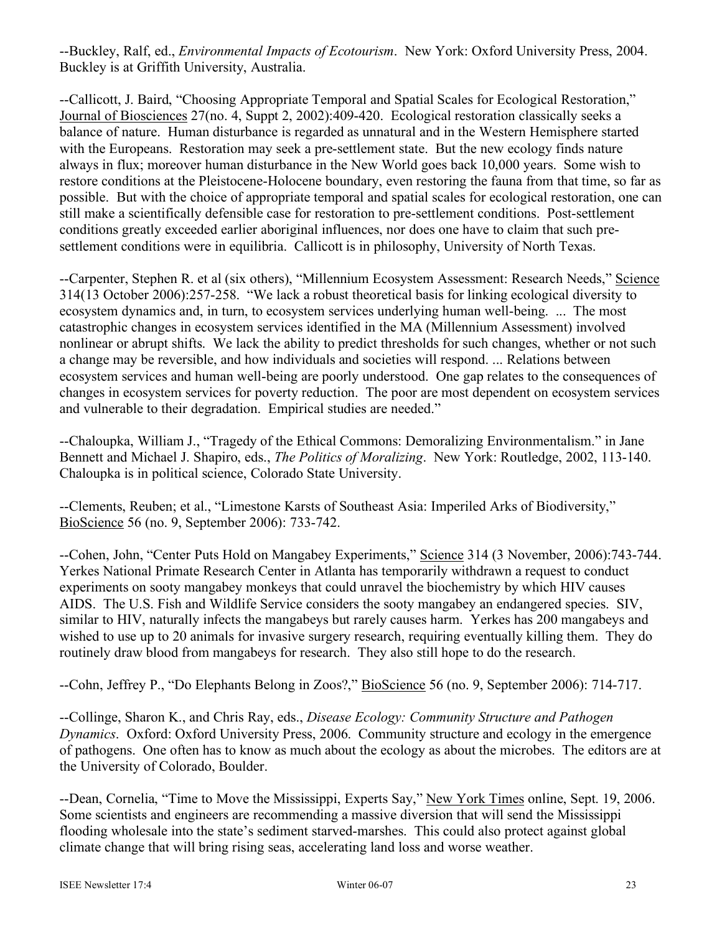--Buckley, Ralf, ed., *Environmental Impacts of Ecotourism*. New York: Oxford University Press, 2004. Buckley is at Griffith University, Australia.

--Callicott, J. Baird, "Choosing Appropriate Temporal and Spatial Scales for Ecological Restoration," Journal of Biosciences 27(no. 4, Suppt 2, 2002):409-420. Ecological restoration classically seeks a balance of nature. Human disturbance is regarded as unnatural and in the Western Hemisphere started with the Europeans. Restoration may seek a pre-settlement state. But the new ecology finds nature always in flux; moreover human disturbance in the New World goes back 10,000 years. Some wish to restore conditions at the Pleistocene-Holocene boundary, even restoring the fauna from that time, so far as possible. But with the choice of appropriate temporal and spatial scales for ecological restoration, one can still make a scientifically defensible case for restoration to pre-settlement conditions. Post-settlement conditions greatly exceeded earlier aboriginal influences, nor does one have to claim that such presettlement conditions were in equilibria. Callicott is in philosophy, University of North Texas.

--Carpenter, Stephen R. et al (six others), "Millennium Ecosystem Assessment: Research Needs," Science 314(13 October 2006):257-258. "We lack a robust theoretical basis for linking ecological diversity to ecosystem dynamics and, in turn, to ecosystem services underlying human well-being. ... The most catastrophic changes in ecosystem services identified in the MA (Millennium Assessment) involved nonlinear or abrupt shifts. We lack the ability to predict thresholds for such changes, whether or not such a change may be reversible, and how individuals and societies will respond. ... Relations between ecosystem services and human well-being are poorly understood. One gap relates to the consequences of changes in ecosystem services for poverty reduction. The poor are most dependent on ecosystem services and vulnerable to their degradation. Empirical studies are needed."

--Chaloupka, William J., "Tragedy of the Ethical Commons: Demoralizing Environmentalism." in Jane Bennett and Michael J. Shapiro, eds., *The Politics of Moralizing*. New York: Routledge, 2002, 113-140. Chaloupka is in political science, Colorado State University.

--Clements, Reuben; et al., "Limestone Karsts of Southeast Asia: Imperiled Arks of Biodiversity," BioScience 56 (no. 9, September 2006): 733-742.

--Cohen, John, "Center Puts Hold on Mangabey Experiments," Science 314 (3 November, 2006):743-744. Yerkes National Primate Research Center in Atlanta has temporarily withdrawn a request to conduct experiments on sooty mangabey monkeys that could unravel the biochemistry by which HIV causes AIDS. The U.S. Fish and Wildlife Service considers the sooty mangabey an endangered species. SIV, similar to HIV, naturally infects the mangabeys but rarely causes harm. Yerkes has 200 mangabeys and wished to use up to 20 animals for invasive surgery research, requiring eventually killing them. They do routinely draw blood from mangabeys for research. They also still hope to do the research.

--Cohn, Jeffrey P., "Do Elephants Belong in Zoos?," BioScience 56 (no. 9, September 2006): 714-717.

--Collinge, Sharon K., and Chris Ray, eds., *Disease Ecology: Community Structure and Pathogen Dynamics*. Oxford: Oxford University Press, 2006. Community structure and ecology in the emergence of pathogens. One often has to know as much about the ecology as about the microbes. The editors are at the University of Colorado, Boulder.

--Dean, Cornelia, "Time to Move the Mississippi, Experts Say," New York Times online, Sept. 19, 2006. Some scientists and engineers are recommending a massive diversion that will send the Mississippi flooding wholesale into the state's sediment starved-marshes. This could also protect against global climate change that will bring rising seas, accelerating land loss and worse weather.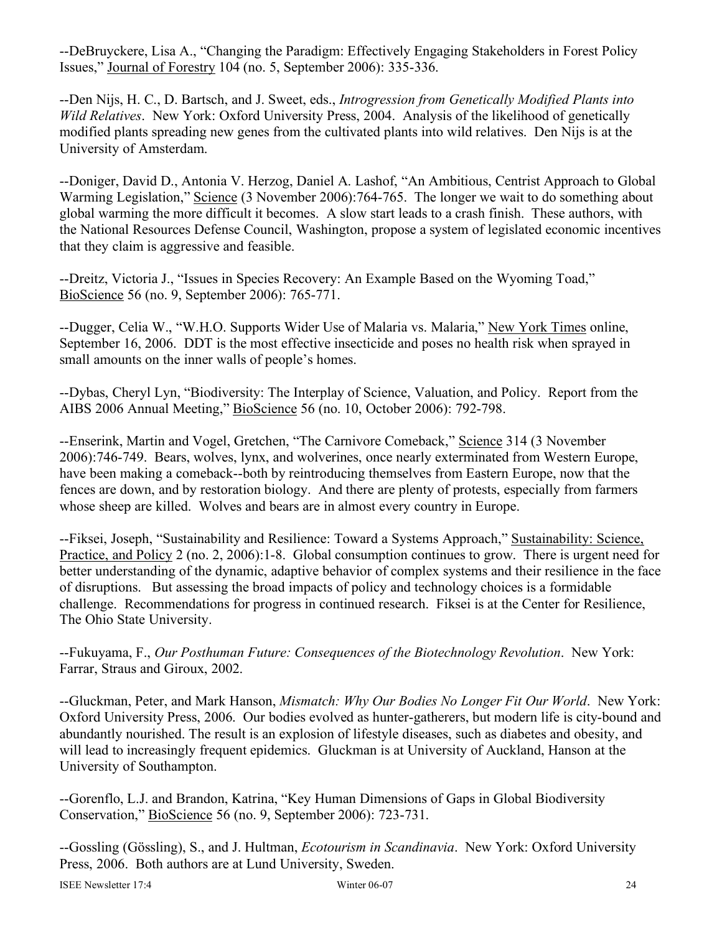--DeBruyckere, Lisa A., "Changing the Paradigm: Effectively Engaging Stakeholders in Forest Policy Issues," Journal of Forestry 104 (no. 5, September 2006): 335-336.

--Den Nijs, H. C., D. Bartsch, and J. Sweet, eds., *Introgression from Genetically Modified Plants into Wild Relatives*. New York: Oxford University Press, 2004. Analysis of the likelihood of genetically modified plants spreading new genes from the cultivated plants into wild relatives. Den Nijs is at the University of Amsterdam.

--Doniger, David D., Antonia V. Herzog, Daniel A. Lashof, "An Ambitious, Centrist Approach to Global Warming Legislation," Science (3 November 2006):764-765. The longer we wait to do something about global warming the more difficult it becomes. A slow start leads to a crash finish. These authors, with the National Resources Defense Council, Washington, propose a system of legislated economic incentives that they claim is aggressive and feasible.

--Dreitz, Victoria J., "Issues in Species Recovery: An Example Based on the Wyoming Toad," BioScience 56 (no. 9, September 2006): 765-771.

--Dugger, Celia W., "W.H.O. Supports Wider Use of Malaria vs. Malaria," New York Times online, September 16, 2006. DDT is the most effective insecticide and poses no health risk when sprayed in small amounts on the inner walls of people's homes.

--Dybas, Cheryl Lyn, "Biodiversity: The Interplay of Science, Valuation, and Policy. Report from the AIBS 2006 Annual Meeting," BioScience 56 (no. 10, October 2006): 792-798.

--Enserink, Martin and Vogel, Gretchen, "The Carnivore Comeback," Science 314 (3 November 2006):746-749. Bears, wolves, lynx, and wolverines, once nearly exterminated from Western Europe, have been making a comeback--both by reintroducing themselves from Eastern Europe, now that the fences are down, and by restoration biology. And there are plenty of protests, especially from farmers whose sheep are killed. Wolves and bears are in almost every country in Europe.

--Fiksei, Joseph, "Sustainability and Resilience: Toward a Systems Approach," Sustainability: Science, Practice, and Policy 2 (no. 2, 2006):1-8. Global consumption continues to grow. There is urgent need for better understanding of the dynamic, adaptive behavior of complex systems and their resilience in the face of disruptions. But assessing the broad impacts of policy and technology choices is a formidable challenge. Recommendations for progress in continued research. Fiksei is at the Center for Resilience, The Ohio State University.

--Fukuyama, F., *Our Posthuman Future: Consequences of the Biotechnology Revolution*. New York: Farrar, Straus and Giroux, 2002.

--Gluckman, Peter, and Mark Hanson, *Mismatch: Why Our Bodies No Longer Fit Our World*. New York: Oxford University Press, 2006. Our bodies evolved as hunter-gatherers, but modern life is city-bound and abundantly nourished. The result is an explosion of lifestyle diseases, such as diabetes and obesity, and will lead to increasingly frequent epidemics. Gluckman is at University of Auckland, Hanson at the University of Southampton.

--Gorenflo, L.J. and Brandon, Katrina, "Key Human Dimensions of Gaps in Global Biodiversity Conservation," BioScience 56 (no. 9, September 2006): 723-731.

--Gossling (Gössling), S., and J. Hultman, *Ecotourism in Scandinavia*. New York: Oxford University Press, 2006. Both authors are at Lund University, Sweden.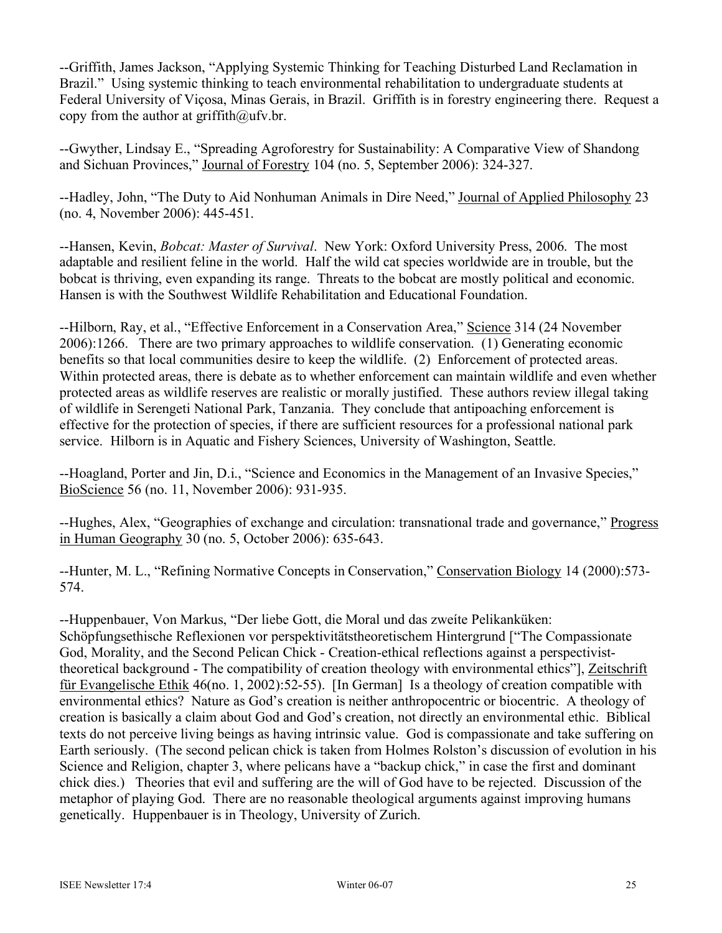--Griffith, James Jackson, "Applying Systemic Thinking for Teaching Disturbed Land Reclamation in Brazil." Using systemic thinking to teach environmental rehabilitation to undergraduate students at Federal University of Viçosa, Minas Gerais, in Brazil. Griffith is in forestry engineering there. Request a copy from the author at  $griffith@ufv.br$ .

--Gwyther, Lindsay E., "Spreading Agroforestry for Sustainability: A Comparative View of Shandong and Sichuan Provinces," Journal of Forestry 104 (no. 5, September 2006): 324-327.

--Hadley, John, "The Duty to Aid Nonhuman Animals in Dire Need," Journal of Applied Philosophy 23 (no. 4, November 2006): 445-451.

--Hansen, Kevin, *Bobcat: Master of Survival*. New York: Oxford University Press, 2006. The most adaptable and resilient feline in the world. Half the wild cat species worldwide are in trouble, but the bobcat is thriving, even expanding its range. Threats to the bobcat are mostly political and economic. Hansen is with the Southwest Wildlife Rehabilitation and Educational Foundation.

--Hilborn, Ray, et al., "Effective Enforcement in a Conservation Area," Science 314 (24 November 2006):1266. There are two primary approaches to wildlife conservation. (1) Generating economic benefits so that local communities desire to keep the wildlife. (2) Enforcement of protected areas. Within protected areas, there is debate as to whether enforcement can maintain wildlife and even whether protected areas as wildlife reserves are realistic or morally justified. These authors review illegal taking of wildlife in Serengeti National Park, Tanzania. They conclude that antipoaching enforcement is effective for the protection of species, if there are sufficient resources for a professional national park service. Hilborn is in Aquatic and Fishery Sciences, University of Washington, Seattle.

--Hoagland, Porter and Jin, D.i., "Science and Economics in the Management of an Invasive Species," BioScience 56 (no. 11, November 2006): 931-935.

--Hughes, Alex, "Geographies of exchange and circulation: transnational trade and governance," Progress in Human Geography 30 (no. 5, October 2006): 635-643.

--Hunter, M. L., "Refining Normative Concepts in Conservation," Conservation Biology 14 (2000):573-574.

--Huppenbauer, Von Markus, "Der liebe Gott, die Moral und das zweíte Pelikanküken: Schöpfungsethische Reflexionen vor perspektivitätstheoretischem Hintergrund ["The Compassionate God, Morality, and the Second Pelican Chick - Creation-ethical reflections against a perspectivisttheoretical background - The compatibility of creation theology with environmental ethics"], Zeitschrift für Evangelische Ethik 46(no. 1, 2002):52-55). [In German] Is a theology of creation compatible with environmental ethics? Nature as God's creation is neither anthropocentric or biocentric. A theology of creation is basically a claim about God and God's creation, not directly an environmental ethic. Biblical texts do not perceive living beings as having intrinsic value. God is compassionate and take suffering on Earth seriously. (The second pelican chick is taken from Holmes Rolston's discussion of evolution in his Science and Religion, chapter 3, where pelicans have a "backup chick," in case the first and dominant chick dies.) Theories that evil and suffering are the will of God have to be rejected. Discussion of the metaphor of playing God. There are no reasonable theological arguments against improving humans genetically. Huppenbauer is in Theology, University of Zurich.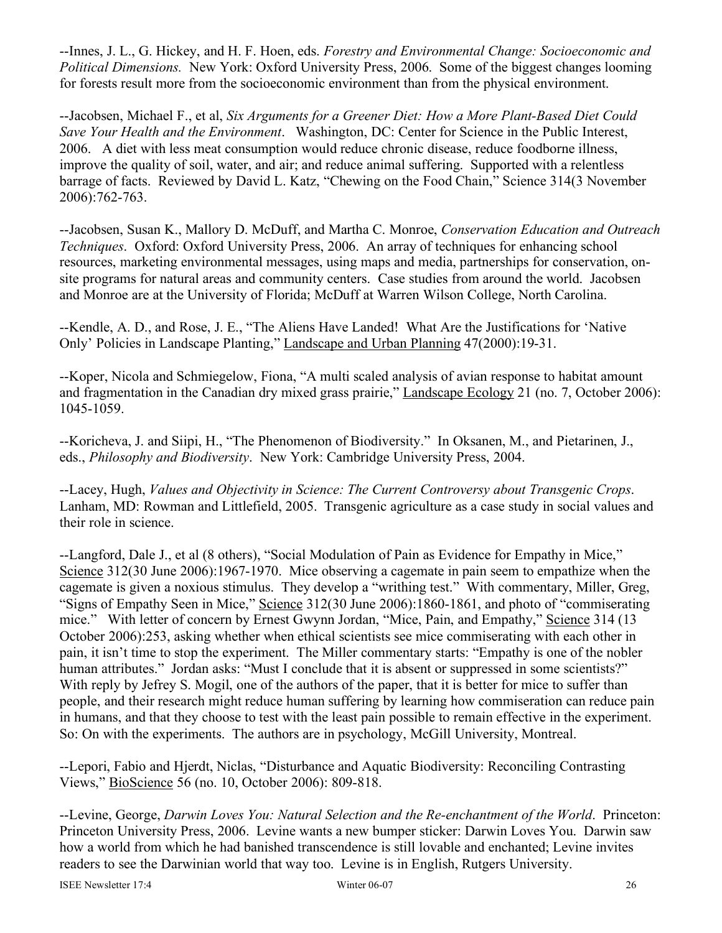--Innes, J. L., G. Hickey, and H. F. Hoen, eds. *Forestry and Environmental Change: Socioeconomic and Political Dimensions.* New York: Oxford University Press, 2006. Some of the biggest changes looming for forests result more from the socioeconomic environment than from the physical environment.

--Jacobsen, Michael F., et al, *Six Arguments for a Greener Diet: How a More Plant-Based Diet Could Save Your Health and the Environment*. Washington, DC: Center for Science in the Public Interest, 2006. A diet with less meat consumption would reduce chronic disease, reduce foodborne illness, improve the quality of soil, water, and air; and reduce animal suffering. Supported with a relentless barrage of facts. Reviewed by David L. Katz, "Chewing on the Food Chain," Science 314(3 November 2006):762-763.

--Jacobsen, Susan K., Mallory D. McDuff, and Martha C. Monroe, *Conservation Education and Outreach Techniques*. Oxford: Oxford University Press, 2006. An array of techniques for enhancing school resources, marketing environmental messages, using maps and media, partnerships for conservation, onsite programs for natural areas and community centers. Case studies from around the world. Jacobsen and Monroe are at the University of Florida; McDuff at Warren Wilson College, North Carolina.

--Kendle, A. D., and Rose, J. E., "The Aliens Have Landed! What Are the Justifications for 'Native Only' Policies in Landscape Planting," Landscape and Urban Planning 47(2000):19-31.

--Koper, Nicola and Schmiegelow, Fiona, "A multi scaled analysis of avian response to habitat amount and fragmentation in the Canadian dry mixed grass prairie," Landscape Ecology 21 (no. 7, October 2006): 1045-1059.

--Koricheva, J. and Siipi, H., "The Phenomenon of Biodiversity." In Oksanen, M., and Pietarinen, J., eds., *Philosophy and Biodiversity*. New York: Cambridge University Press, 2004.

--Lacey, Hugh, *Values and Objectivity in Science: The Current Controversy about Transgenic Crops*. Lanham, MD: Rowman and Littlefield, 2005. Transgenic agriculture as a case study in social values and their role in science.

--Langford, Dale J., et al (8 others), "Social Modulation of Pain as Evidence for Empathy in Mice," Science 312(30 June 2006):1967-1970. Mice observing a cagemate in pain seem to empathize when the cagemate is given a noxious stimulus. They develop a "writhing test." With commentary, Miller, Greg, "Signs of Empathy Seen in Mice," Science 312(30 June 2006):1860-1861, and photo of "commiserating mice." With letter of concern by Ernest Gwynn Jordan, "Mice, Pain, and Empathy," Science 314 (13 October 2006):253, asking whether when ethical scientists see mice commiserating with each other in pain, it isn't time to stop the experiment. The Miller commentary starts: "Empathy is one of the nobler human attributes." Jordan asks: "Must I conclude that it is absent or suppressed in some scientists?" With reply by Jefrey S. Mogil, one of the authors of the paper, that it is better for mice to suffer than people, and their research might reduce human suffering by learning how commiseration can reduce pain in humans, and that they choose to test with the least pain possible to remain effective in the experiment. So: On with the experiments. The authors are in psychology, McGill University, Montreal.

--Lepori, Fabio and Hjerdt, Niclas, "Disturbance and Aquatic Biodiversity: Reconciling Contrasting Views," BioScience 56 (no. 10, October 2006): 809-818.

--Levine, George, *Darwin Loves You: Natural Selection and the Re-enchantment of the World*. Princeton: Princeton University Press, 2006. Levine wants a new bumper sticker: Darwin Loves You. Darwin saw how a world from which he had banished transcendence is still lovable and enchanted; Levine invites readers to see the Darwinian world that way too. Levine is in English, Rutgers University.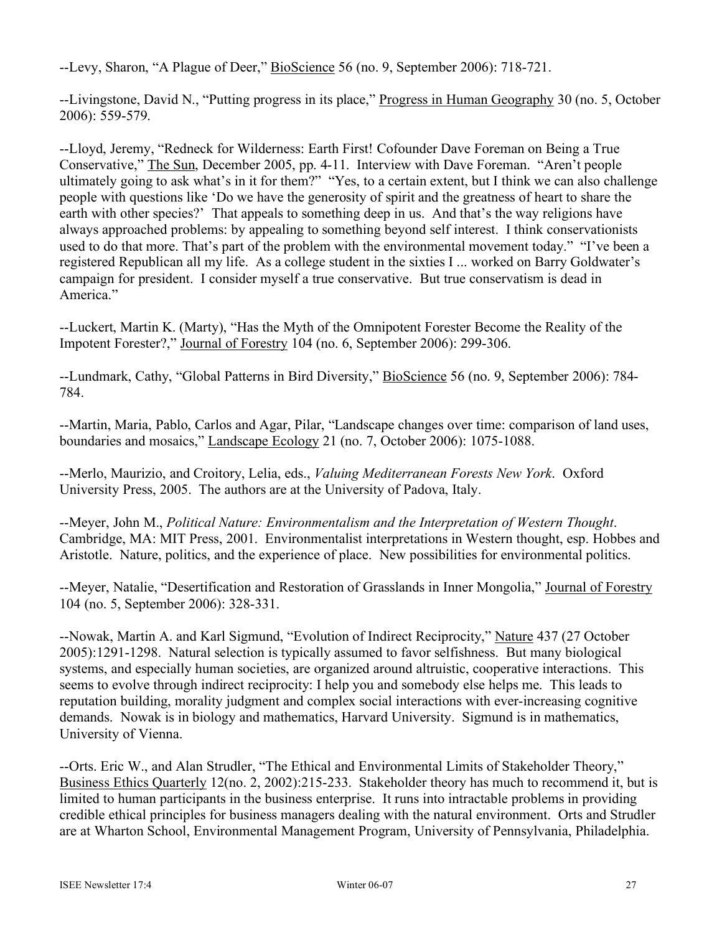--Levy, Sharon, "A Plague of Deer," BioScience 56 (no. 9, September 2006): 718-721.

--Livingstone, David N., "Putting progress in its place," Progress in Human Geography 30 (no. 5, October 2006): 559-579.

--Lloyd, Jeremy, "Redneck for Wilderness: Earth First! Cofounder Dave Foreman on Being a True Conservative," The Sun, December 2005, pp. 4-11. Interview with Dave Foreman. "Aren't people ultimately going to ask what's in it for them?" "Yes, to a certain extent, but I think we can also challenge people with questions like 'Do we have the generosity of spirit and the greatness of heart to share the earth with other species?' That appeals to something deep in us. And that's the way religions have always approached problems: by appealing to something beyond self interest. I think conservationists used to do that more. That's part of the problem with the environmental movement today." "I've been a registered Republican all my life. As a college student in the sixties I ... worked on Barry Goldwater's campaign for president. I consider myself a true conservative. But true conservatism is dead in America."

--Luckert, Martin K. (Marty), "Has the Myth of the Omnipotent Forester Become the Reality of the Impotent Forester?," Journal of Forestry 104 (no. 6, September 2006): 299-306.

--Lundmark, Cathy, "Global Patterns in Bird Diversity," BioScience 56 (no. 9, September 2006): 784- 784.

--Martin, Maria, Pablo, Carlos and Agar, Pilar, "Landscape changes over time: comparison of land uses, boundaries and mosaics," Landscape Ecology 21 (no. 7, October 2006): 1075-1088.

--Merlo, Maurizio, and Croitory, Lelia, eds., *Valuing Mediterranean Forests New York*. Oxford University Press, 2005. The authors are at the University of Padova, Italy.

--Meyer, John M., *Political Nature: Environmentalism and the Interpretation of Western Thought*. Cambridge, MA: MIT Press, 2001. Environmentalist interpretations in Western thought, esp. Hobbes and Aristotle. Nature, politics, and the experience of place. New possibilities for environmental politics.

--Meyer, Natalie, "Desertification and Restoration of Grasslands in Inner Mongolia," Journal of Forestry 104 (no. 5, September 2006): 328-331.

--Nowak, Martin A. and Karl Sigmund, "Evolution of Indirect Reciprocity," Nature 437 (27 October 2005):1291-1298. Natural selection is typically assumed to favor selfishness. But many biological systems, and especially human societies, are organized around altruistic, cooperative interactions. This seems to evolve through indirect reciprocity: I help you and somebody else helps me. This leads to reputation building, morality judgment and complex social interactions with ever-increasing cognitive demands. Nowak is in biology and mathematics, Harvard University. Sigmund is in mathematics, University of Vienna.

--Orts. Eric W., and Alan Strudler, "The Ethical and Environmental Limits of Stakeholder Theory," Business Ethics Quarterly 12(no. 2, 2002):215-233. Stakeholder theory has much to recommend it, but is limited to human participants in the business enterprise. It runs into intractable problems in providing credible ethical principles for business managers dealing with the natural environment. Orts and Strudler are at Wharton School, Environmental Management Program, University of Pennsylvania, Philadelphia.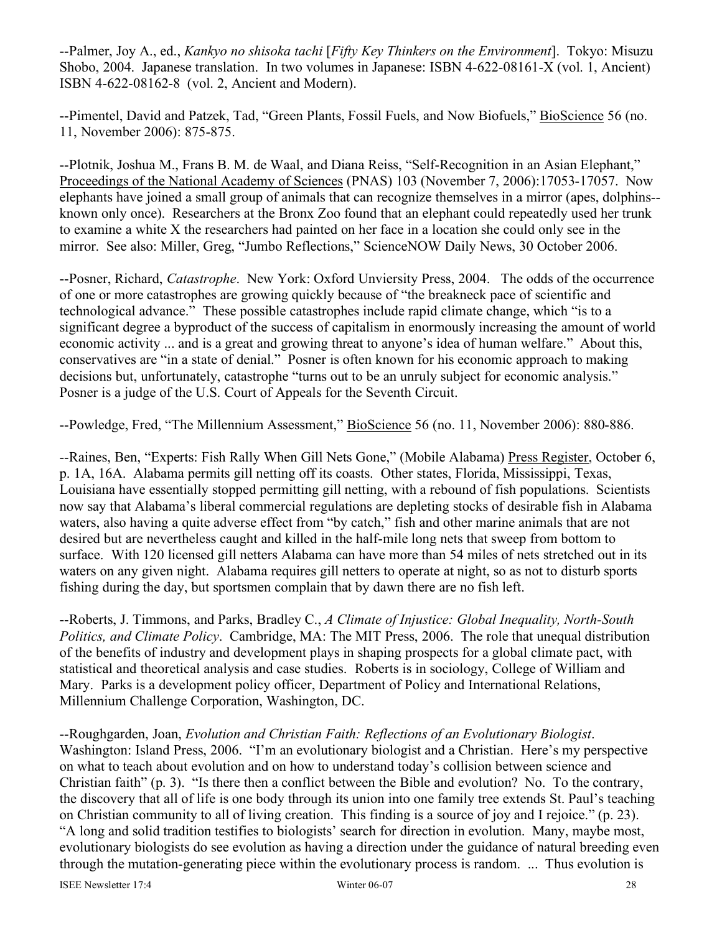--Palmer, Joy A., ed., *Kankyo no shisoka tachi* [*Fifty Key Thinkers on the Environment*]. Tokyo: Misuzu Shobo, 2004. Japanese translation. In two volumes in Japanese: ISBN 4-622-08161-X (vol. 1, Ancient) ISBN 4-622-08162-8 (vol. 2, Ancient and Modern).

--Pimentel, David and Patzek, Tad, "Green Plants, Fossil Fuels, and Now Biofuels," BioScience 56 (no. 11, November 2006): 875-875.

--Plotnik, Joshua M., Frans B. M. de Waal, and Diana Reiss, "Self-Recognition in an Asian Elephant," Proceedings of the National Academy of Sciences (PNAS) 103 (November 7, 2006):17053-17057. Now elephants have joined a small group of animals that can recognize themselves in a mirror (apes, dolphins- known only once). Researchers at the Bronx Zoo found that an elephant could repeatedly used her trunk to examine a white X the researchers had painted on her face in a location she could only see in the mirror. See also: Miller, Greg, "Jumbo Reflections," ScienceNOW Daily News, 30 October 2006.

--Posner, Richard, *Catastrophe*. New York: Oxford Unviersity Press, 2004. The odds of the occurrence of one or more catastrophes are growing quickly because of "the breakneck pace of scientific and technological advance." These possible catastrophes include rapid climate change, which "is to a significant degree a byproduct of the success of capitalism in enormously increasing the amount of world economic activity ... and is a great and growing threat to anyone's idea of human welfare." About this, conservatives are "in a state of denial." Posner is often known for his economic approach to making decisions but, unfortunately, catastrophe "turns out to be an unruly subject for economic analysis." Posner is a judge of the U.S. Court of Appeals for the Seventh Circuit.

--Powledge, Fred, "The Millennium Assessment," BioScience 56 (no. 11, November 2006): 880-886.

--Raines, Ben, "Experts: Fish Rally When Gill Nets Gone," (Mobile Alabama) Press Register, October 6, p. 1A, 16A. Alabama permits gill netting off its coasts. Other states, Florida, Mississippi, Texas, Louisiana have essentially stopped permitting gill netting, with a rebound of fish populations. Scientists now say that Alabama's liberal commercial regulations are depleting stocks of desirable fish in Alabama waters, also having a quite adverse effect from "by catch," fish and other marine animals that are not desired but are nevertheless caught and killed in the half-mile long nets that sweep from bottom to surface. With 120 licensed gill netters Alabama can have more than 54 miles of nets stretched out in its waters on any given night. Alabama requires gill netters to operate at night, so as not to disturb sports fishing during the day, but sportsmen complain that by dawn there are no fish left.

--Roberts, J. Timmons, and Parks, Bradley C., *A Climate of Injustice: Global Inequality, North-South Politics, and Climate Policy*. Cambridge, MA: The MIT Press, 2006. The role that unequal distribution of the benefits of industry and development plays in shaping prospects for a global climate pact, with statistical and theoretical analysis and case studies. Roberts is in sociology, College of William and Mary. Parks is a development policy officer, Department of Policy and International Relations, Millennium Challenge Corporation, Washington, DC.

--Roughgarden, Joan, *Evolution and Christian Faith: Reflections of an Evolutionary Biologist*. Washington: Island Press, 2006. "I'm an evolutionary biologist and a Christian. Here's my perspective on what to teach about evolution and on how to understand today's collision between science and Christian faith" (p. 3). "Is there then a conflict between the Bible and evolution? No. To the contrary, the discovery that all of life is one body through its union into one family tree extends St. Paul's teaching on Christian community to all of living creation. This finding is a source of joy and I rejoice." (p. 23). "A long and solid tradition testifies to biologists' search for direction in evolution. Many, maybe most, evolutionary biologists do see evolution as having a direction under the guidance of natural breeding even through the mutation-generating piece within the evolutionary process is random. ... Thus evolution is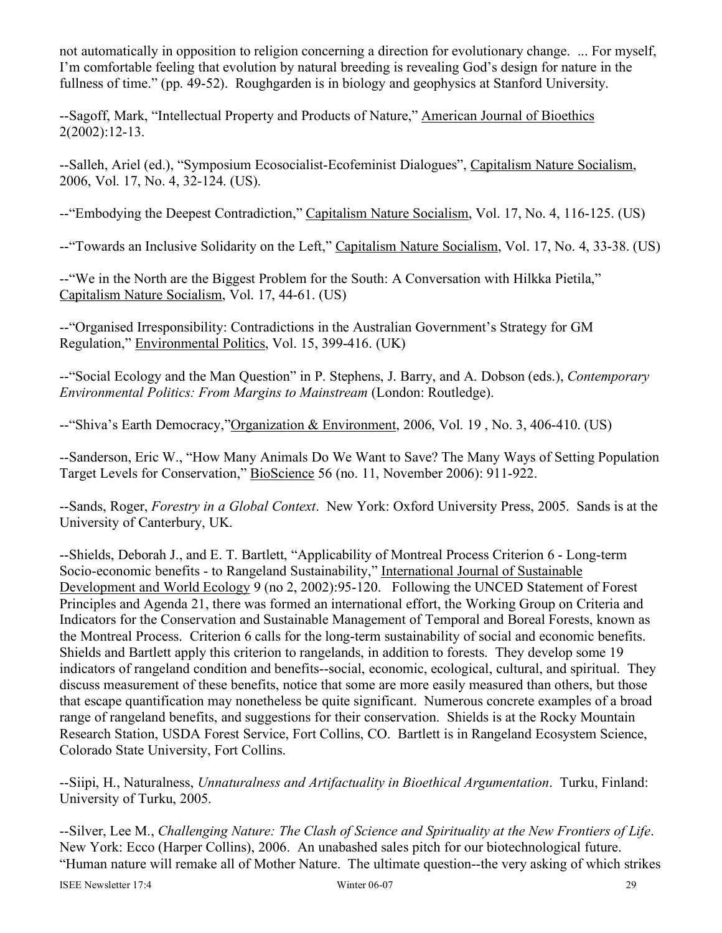not automatically in opposition to religion concerning a direction for evolutionary change. ... For myself, I'm comfortable feeling that evolution by natural breeding is revealing God's design for nature in the fullness of time." (pp. 49-52). Roughgarden is in biology and geophysics at Stanford University.

--Sagoff, Mark, "Intellectual Property and Products of Nature," American Journal of Bioethics 2(2002):12-13.

--Salleh, Ariel (ed.), "Symposium Ecosocialist-Ecofeminist Dialogues", Capitalism Nature Socialism, 2006, Vol. 17, No. 4, 32-124. (US).

--"Embodying the Deepest Contradiction," Capitalism Nature Socialism, Vol. 17, No. 4, 116-125. (US)

--"Towards an Inclusive Solidarity on the Left," Capitalism Nature Socialism, Vol. 17, No. 4, 33-38. (US)

--"We in the North are the Biggest Problem for the South: A Conversation with Hilkka Pietila," Capitalism Nature Socialism, Vol. 17, 44-61. (US)

--"Organised Irresponsibility: Contradictions in the Australian Government's Strategy for GM Regulation," Environmental Politics, Vol. 15, 399-416. (UK)

--"Social Ecology and the Man Question" in P. Stephens, J. Barry, and A. Dobson (eds.), *Contemporary Environmental Politics: From Margins to Mainstream* (London: Routledge).

--"Shiva's Earth Democracy,"Organization & Environment, 2006, Vol. 19 , No. 3, 406-410. (US)

--Sanderson, Eric W., "How Many Animals Do We Want to Save? The Many Ways of Setting Population Target Levels for Conservation," BioScience 56 (no. 11, November 2006): 911-922.

--Sands, Roger, *Forestry in a Global Context*. New York: Oxford University Press, 2005. Sands is at the University of Canterbury, UK.

--Shields, Deborah J., and E. T. Bartlett, "Applicability of Montreal Process Criterion 6 - Long-term Socio-economic benefits - to Rangeland Sustainability," International Journal of Sustainable Development and World Ecology 9 (no 2, 2002):95-120. Following the UNCED Statement of Forest Principles and Agenda 21, there was formed an international effort, the Working Group on Criteria and Indicators for the Conservation and Sustainable Management of Temporal and Boreal Forests, known as the Montreal Process. Criterion 6 calls for the long-term sustainability of social and economic benefits. Shields and Bartlett apply this criterion to rangelands, in addition to forests. They develop some 19 indicators of rangeland condition and benefits--social, economic, ecological, cultural, and spiritual. They discuss measurement of these benefits, notice that some are more easily measured than others, but those that escape quantification may nonetheless be quite significant. Numerous concrete examples of a broad range of rangeland benefits, and suggestions for their conservation. Shields is at the Rocky Mountain Research Station, USDA Forest Service, Fort Collins, CO. Bartlett is in Rangeland Ecosystem Science, Colorado State University, Fort Collins.

--Siipi, H., Naturalness, *Unnaturalness and Artifactuality in Bioethical Argumentation*. Turku, Finland: University of Turku, 2005.

--Silver, Lee M., *Challenging Nature: The Clash of Science and Spirituality at the New Frontiers of Life*. New York: Ecco (Harper Collins), 2006. An unabashed sales pitch for our biotechnological future. "Human nature will remake all of Mother Nature. The ultimate question--the very asking of which strikes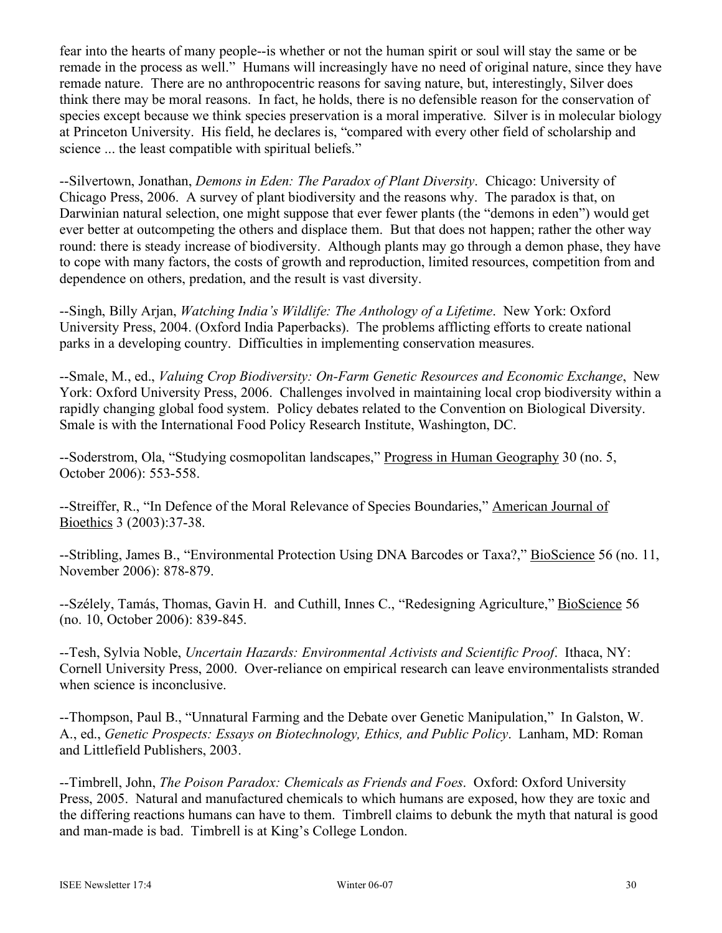fear into the hearts of many people--is whether or not the human spirit or soul will stay the same or be remade in the process as well." Humans will increasingly have no need of original nature, since they have remade nature. There are no anthropocentric reasons for saving nature, but, interestingly, Silver does think there may be moral reasons. In fact, he holds, there is no defensible reason for the conservation of species except because we think species preservation is a moral imperative. Silver is in molecular biology at Princeton University. His field, he declares is, "compared with every other field of scholarship and science ... the least compatible with spiritual beliefs."

--Silvertown, Jonathan, *Demons in Eden: The Paradox of Plant Diversity*. Chicago: University of Chicago Press, 2006. A survey of plant biodiversity and the reasons why. The paradox is that, on Darwinian natural selection, one might suppose that ever fewer plants (the "demons in eden") would get ever better at outcompeting the others and displace them. But that does not happen; rather the other way round: there is steady increase of biodiversity. Although plants may go through a demon phase, they have to cope with many factors, the costs of growth and reproduction, limited resources, competition from and dependence on others, predation, and the result is vast diversity.

--Singh, Billy Arjan, *Watching India's Wildlife: The Anthology of a Lifetime*. New York: Oxford University Press, 2004. (Oxford India Paperbacks). The problems afflicting efforts to create national parks in a developing country. Difficulties in implementing conservation measures.

--Smale, M., ed., *Valuing Crop Biodiversity: On-Farm Genetic Resources and Economic Exchange*, New York: Oxford University Press, 2006. Challenges involved in maintaining local crop biodiversity within a rapidly changing global food system. Policy debates related to the Convention on Biological Diversity. Smale is with the International Food Policy Research Institute, Washington, DC.

--Soderstrom, Ola, "Studying cosmopolitan landscapes," Progress in Human Geography 30 (no. 5, October 2006): 553-558.

--Streiffer, R., "In Defence of the Moral Relevance of Species Boundaries," American Journal of Bioethics 3 (2003):37-38.

--Stribling, James B., "Environmental Protection Using DNA Barcodes or Taxa?," BioScience 56 (no. 11, November 2006): 878-879.

--Szélely, Tamás, Thomas, Gavin H. and Cuthill, Innes C., "Redesigning Agriculture," BioScience 56 (no. 10, October 2006): 839-845.

--Tesh, Sylvia Noble, *Uncertain Hazards: Environmental Activists and Scientific Proof*. Ithaca, NY: Cornell University Press, 2000. Over-reliance on empirical research can leave environmentalists stranded when science is inconclusive.

--Thompson, Paul B., "Unnatural Farming and the Debate over Genetic Manipulation," In Galston, W. A., ed., *Genetic Prospects: Essays on Biotechnology, Ethics, and Public Policy*. Lanham, MD: Roman and Littlefield Publishers, 2003.

--Timbrell, John, *The Poison Paradox: Chemicals as Friends and Foes*. Oxford: Oxford University Press, 2005. Natural and manufactured chemicals to which humans are exposed, how they are toxic and the differing reactions humans can have to them. Timbrell claims to debunk the myth that natural is good and man-made is bad. Timbrell is at King's College London.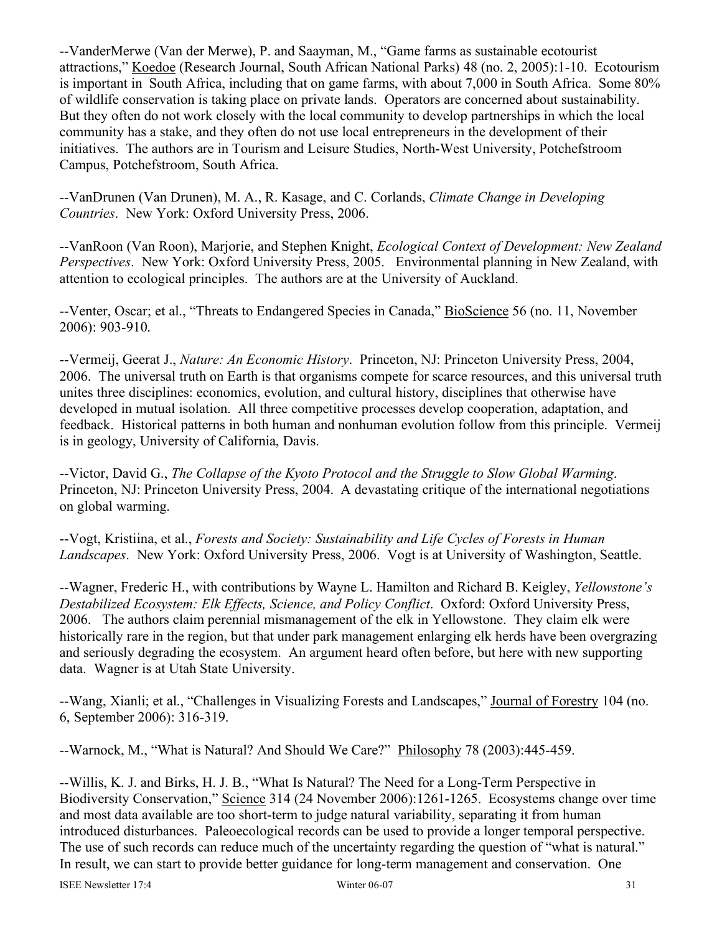--VanderMerwe (Van der Merwe), P. and Saayman, M., "Game farms as sustainable ecotourist attractions," Koedoe (Research Journal, South African National Parks) 48 (no. 2, 2005):1-10. Ecotourism is important in South Africa, including that on game farms, with about 7,000 in South Africa. Some 80% of wildlife conservation is taking place on private lands. Operators are concerned about sustainability. But they often do not work closely with the local community to develop partnerships in which the local community has a stake, and they often do not use local entrepreneurs in the development of their initiatives. The authors are in Tourism and Leisure Studies, North-West University, Potchefstroom Campus, Potchefstroom, South Africa.

--VanDrunen (Van Drunen), M. A., R. Kasage, and C. Corlands, *Climate Change in Developing Countries*. New York: Oxford University Press, 2006.

--VanRoon (Van Roon), Marjorie, and Stephen Knight, *Ecological Context of Development: New Zealand Perspectives*. New York: Oxford University Press, 2005. Environmental planning in New Zealand, with attention to ecological principles. The authors are at the University of Auckland.

--Venter, Oscar; et al., "Threats to Endangered Species in Canada," BioScience 56 (no. 11, November 2006): 903-910.

--Vermeij, Geerat J., *Nature: An Economic History*. Princeton, NJ: Princeton University Press, 2004, 2006. The universal truth on Earth is that organisms compete for scarce resources, and this universal truth unites three disciplines: economics, evolution, and cultural history, disciplines that otherwise have developed in mutual isolation. All three competitive processes develop cooperation, adaptation, and feedback. Historical patterns in both human and nonhuman evolution follow from this principle. Vermeij is in geology, University of California, Davis.

--Victor, David G., *The Collapse of the Kyoto Protocol and the Struggle to Slow Global Warming*. Princeton, NJ: Princeton University Press, 2004. A devastating critique of the international negotiations on global warming.

--Vogt, Kristiina, et al., *Forests and Society: Sustainability and Life Cycles of Forests in Human Landscapes*. New York: Oxford University Press, 2006. Vogt is at University of Washington, Seattle.

--Wagner, Frederic H., with contributions by Wayne L. Hamilton and Richard B. Keigley, *Yellowstone's Destabilized Ecosystem: Elk Effects, Science, and Policy Conflict*. Oxford: Oxford University Press, 2006. The authors claim perennial mismanagement of the elk in Yellowstone. They claim elk were historically rare in the region, but that under park management enlarging elk herds have been overgrazing and seriously degrading the ecosystem. An argument heard often before, but here with new supporting data. Wagner is at Utah State University.

--Wang, Xianli; et al., "Challenges in Visualizing Forests and Landscapes," Journal of Forestry 104 (no. 6, September 2006): 316-319.

--Warnock, M., "What is Natural? And Should We Care?" Philosophy 78 (2003):445-459.

--Willis, K. J. and Birks, H. J. B., "What Is Natural? The Need for a Long-Term Perspective in Biodiversity Conservation," Science 314 (24 November 2006):1261-1265. Ecosystems change over time and most data available are too short-term to judge natural variability, separating it from human introduced disturbances. Paleoecological records can be used to provide a longer temporal perspective. The use of such records can reduce much of the uncertainty regarding the question of "what is natural." In result, we can start to provide better guidance for long-term management and conservation. One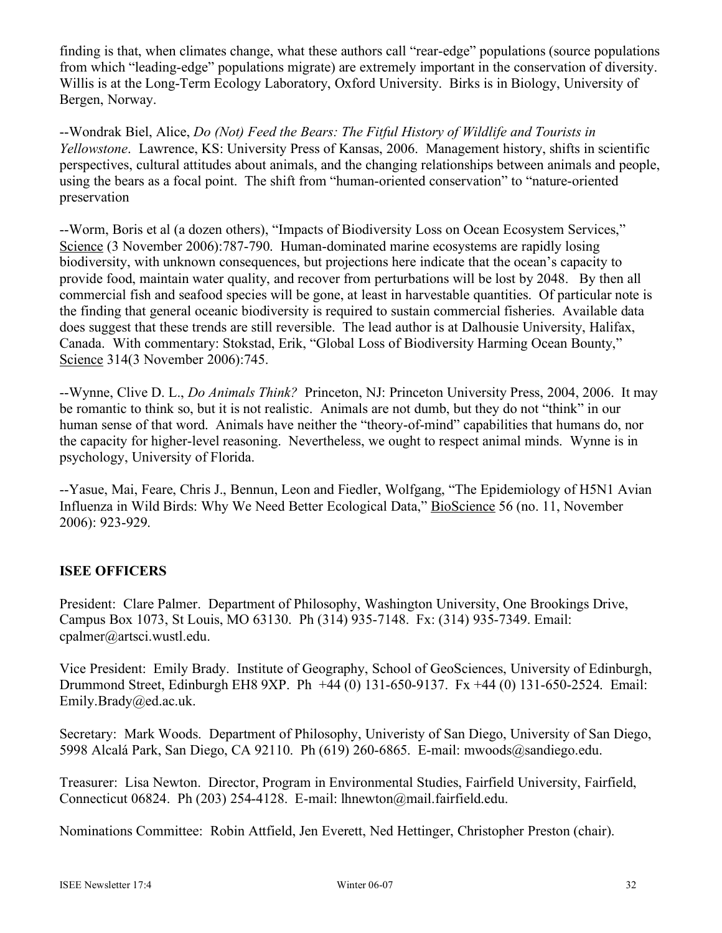finding is that, when climates change, what these authors call "rear-edge" populations (source populations from which "leading-edge" populations migrate) are extremely important in the conservation of diversity. Willis is at the Long-Term Ecology Laboratory, Oxford University. Birks is in Biology, University of Bergen, Norway.

--Wondrak Biel, Alice, *Do (Not) Feed the Bears: The Fitful History of Wildlife and Tourists in Yellowstone*. Lawrence, KS: University Press of Kansas, 2006. Management history, shifts in scientific perspectives, cultural attitudes about animals, and the changing relationships between animals and people, using the bears as a focal point. The shift from "human-oriented conservation" to "nature-oriented preservation

--Worm, Boris et al (a dozen others), "Impacts of Biodiversity Loss on Ocean Ecosystem Services," Science (3 November 2006):787-790. Human-dominated marine ecosystems are rapidly losing biodiversity, with unknown consequences, but projections here indicate that the ocean's capacity to provide food, maintain water quality, and recover from perturbations will be lost by 2048. By then all commercial fish and seafood species will be gone, at least in harvestable quantities. Of particular note is the finding that general oceanic biodiversity is required to sustain commercial fisheries. Available data does suggest that these trends are still reversible. The lead author is at Dalhousie University, Halifax, Canada. With commentary: Stokstad, Erik, "Global Loss of Biodiversity Harming Ocean Bounty," Science 314(3 November 2006):745.

--Wynne, Clive D. L., *Do Animals Think?* Princeton, NJ: Princeton University Press, 2004, 2006. It may be romantic to think so, but it is not realistic. Animals are not dumb, but they do not "think" in our human sense of that word. Animals have neither the "theory-of-mind" capabilities that humans do, nor the capacity for higher-level reasoning. Nevertheless, we ought to respect animal minds. Wynne is in psychology, University of Florida.

--Yasue, Mai, Feare, Chris J., Bennun, Leon and Fiedler, Wolfgang, "The Epidemiology of H5N1 Avian Influenza in Wild Birds: Why We Need Better Ecological Data," BioScience 56 (no. 11, November 2006): 923-929.

# **ISEE OFFICERS**

President: Clare Palmer. Department of Philosophy, Washington University, One Brookings Drive, Campus Box 1073, St Louis, MO 63130. Ph (314) 935-7148. Fx: (314) 935-7349. Email: cpalmer@artsci.wustl.edu.

Vice President: Emily Brady. Institute of Geography, School of GeoSciences, University of Edinburgh, Drummond Street, Edinburgh EH8 9XP. Ph +44 (0) 131-650-9137. Fx +44 (0) 131-650-2524. Email: Emily.Brady@ed.ac.uk.

Secretary: Mark Woods. Department of Philosophy, Univeristy of San Diego, University of San Diego, 5998 Alcalá Park, San Diego, CA 92110. Ph (619) 260-6865. E-mail: mwoods@sandiego.edu.

Treasurer: Lisa Newton. Director, Program in Environmental Studies, Fairfield University, Fairfield, Connecticut 06824. Ph (203) 254-4128. E-mail: lhnewton@mail.fairfield.edu.

Nominations Committee: Robin Attfield, Jen Everett, Ned Hettinger, Christopher Preston (chair).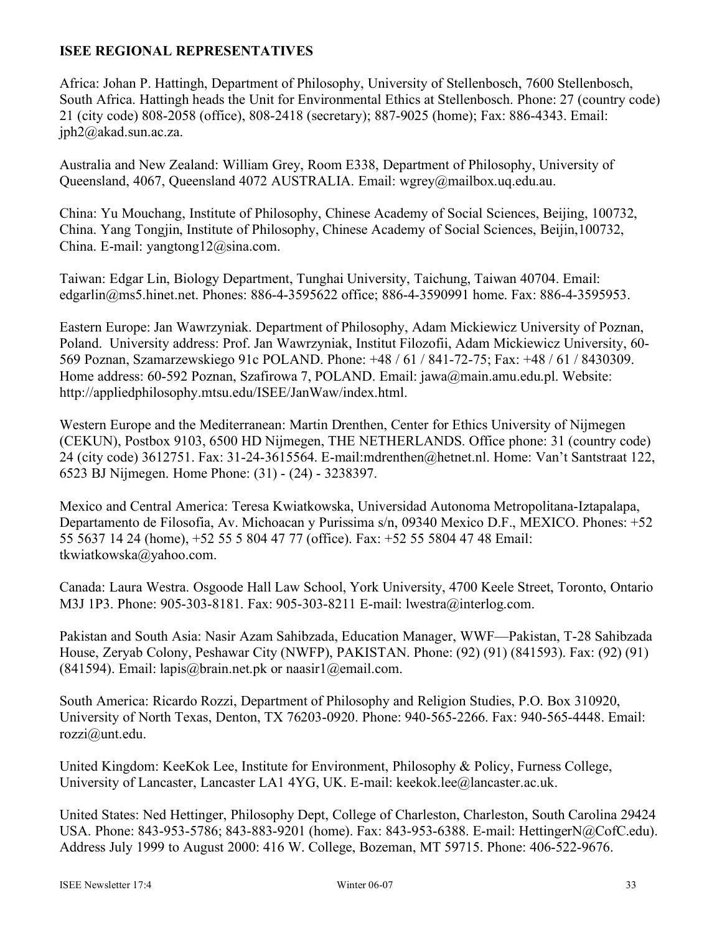# **ISEE REGIONAL REPRESENTATIVES**

Africa: Johan P. Hattingh, Department of Philosophy, University of Stellenbosch, 7600 Stellenbosch, South Africa. Hattingh heads the Unit for Environmental Ethics at Stellenbosch. Phone: 27 (country code) 21 (city code) 808-2058 (office), 808-2418 (secretary); 887-9025 (home); Fax: 886-4343. Email: jph2@akad.sun.ac.za.

Australia and New Zealand: William Grey, Room E338, Department of Philosophy, University of Queensland, 4067, Queensland 4072 AUSTRALIA. Email: wgrey@mailbox.uq.edu.au.

China: Yu Mouchang, Institute of Philosophy, Chinese Academy of Social Sciences, Beijing, 100732, China. Yang Tongjin, Institute of Philosophy, Chinese Academy of Social Sciences, Beijin,100732, China. E-mail: yangtong12@sina.com.

Taiwan: Edgar Lin, Biology Department, Tunghai University, Taichung, Taiwan 40704. Email: edgarlin@ms5.hinet.net. Phones: 886-4-3595622 office; 886-4-3590991 home. Fax: 886-4-3595953.

Eastern Europe: Jan Wawrzyniak. Department of Philosophy, Adam Mickiewicz University of Poznan, Poland. University address: Prof. Jan Wawrzyniak, Institut Filozofii, Adam Mickiewicz University, 60- 569 Poznan, Szamarzewskiego 91c POLAND. Phone: +48 / 61 / 841-72-75; Fax: +48 / 61 / 8430309. Home address: 60-592 Poznan, Szafirowa 7, POLAND. Email: jawa@main.amu.edu.pl. Website: http://appliedphilosophy.mtsu.edu/ISEE/JanWaw/index.html.

Western Europe and the Mediterranean: Martin Drenthen, Center for Ethics University of Nijmegen (CEKUN), Postbox 9103, 6500 HD Nijmegen, THE NETHERLANDS. Office phone: 31 (country code) 24 (city code) 3612751. Fax: 31-24-3615564. E-mail:mdrenthen@hetnet.nl. Home: Van't Santstraat 122, 6523 BJ Nijmegen. Home Phone: (31) - (24) - 3238397.

Mexico and Central America: Teresa Kwiatkowska, Universidad Autonoma Metropolitana-Iztapalapa, Departamento de Filosofia, Av. Michoacan y Purissima s/n, 09340 Mexico D.F., MEXICO. Phones: +52 55 5637 14 24 (home), +52 55 5 804 47 77 (office). Fax: +52 55 5804 47 48 Email: tkwiatkowska@yahoo.com.

Canada: Laura Westra. Osgoode Hall Law School, York University, 4700 Keele Street, Toronto, Ontario M3J 1P3. Phone: 905-303-8181. Fax: 905-303-8211 E-mail: lwestra@interlog.com.

Pakistan and South Asia: Nasir Azam Sahibzada, Education Manager, WWF—Pakistan, T-28 Sahibzada House, Zeryab Colony, Peshawar City (NWFP), PAKISTAN. Phone: (92) (91) (841593). Fax: (92) (91) (841594). Email: lapis@brain.net.pk or naasir $1$ @email.com.

South America: Ricardo Rozzi, Department of Philosophy and Religion Studies, P.O. Box 310920, University of North Texas, Denton, TX 76203-0920. Phone: 940-565-2266. Fax: 940-565-4448. Email: rozzi@unt.edu.

United Kingdom: KeeKok Lee, Institute for Environment, Philosophy & Policy, Furness College, University of Lancaster, Lancaster LA1 4YG, UK. E-mail: keekok.lee@lancaster.ac.uk.

United States: Ned Hettinger, Philosophy Dept, College of Charleston, Charleston, South Carolina 29424 USA. Phone: 843-953-5786; 843-883-9201 (home). Fax: 843-953-6388. E-mail: HettingerN@CofC.edu). Address July 1999 to August 2000: 416 W. College, Bozeman, MT 59715. Phone: 406-522-9676.